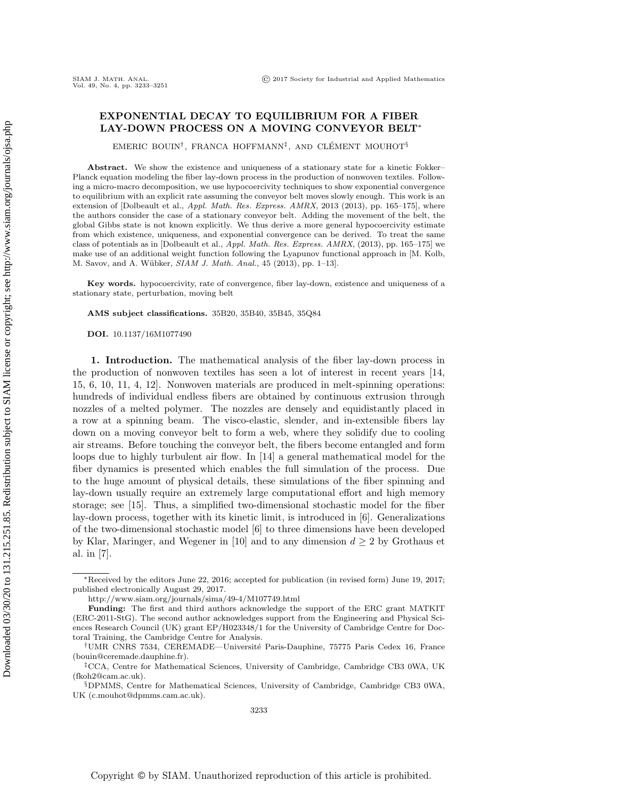# EXPONENTIAL DECAY TO EQUILIBRIUM FOR A FIBER LAY-DOWN PROCESS ON A MOVING CONVEYOR BELT<sup>∗</sup>

EMERIC BOUIN<sup>†</sup>, FRANCA HOFFMANN<sup>‡</sup>, AND CLÉMENT MOUHOT<sup>§</sup>

Abstract. We show the existence and uniqueness of a stationary state for a kinetic Fokker– Planck equation modeling the fiber lay-down process in the production of nonwoven textiles. Following a micro-macro decomposition, we use hypocoercivity techniques to show exponential convergence to equilibrium with an explicit rate assuming the conveyor belt moves slowly enough. This work is an extension of [Dolbeault et al., Appl. Math. Res. Express. AMRX, 2013 (2013), pp. 165–175], where the authors consider the case of a stationary conveyor belt. Adding the movement of the belt, the global Gibbs state is not known explicitly. We thus derive a more general hypocoercivity estimate from which existence, uniqueness, and exponential convergence can be derived. To treat the same class of potentials as in [Dolbeault et al., Appl. Math. Res. Express. AMRX, (2013), pp. 165–175] we make use of an additional weight function following the Lyapunov functional approach in [M. Kolb, M. Savov, and A. Wübker, SIAM J. Math. Anal., 45 (2013), pp. 1-13].

Key words. hypocoercivity, rate of convergence, fiber lay-down, existence and uniqueness of a stationary state, perturbation, moving belt

AMS subject classifications. 35B20, 35B40, 35B45, 35Q84

DOI. 10.1137/16M1077490

1. Introduction. The mathematical analysis of the fiber lay-down process in the production of nonwoven textiles has seen a lot of interest in recent years [\[14,](#page-18-0) [15,](#page-18-1) [6,](#page-17-0) [10,](#page-17-1) [11,](#page-17-2) [4,](#page-17-3) [12\]](#page-17-4). Nonwoven materials are produced in melt-spinning operations: hundreds of individual endless fibers are obtained by continuous extrusion through nozzles of a melted polymer. The nozzles are densely and equidistantly placed in a row at a spinning beam. The visco-elastic, slender, and in-extensible fibers lay down on a moving conveyor belt to form a web, where they solidify due to cooling air streams. Before touching the conveyor belt, the fibers become entangled and form loops due to highly turbulent air flow. In [\[14\]](#page-18-0) a general mathematical model for the fiber dynamics is presented which enables the full simulation of the process. Due to the huge amount of physical details, these simulations of the fiber spinning and lay-down usually require an extremely large computational effort and high memory storage; see [\[15\]](#page-18-1). Thus, a simplified two-dimensional stochastic model for the fiber lay-down process, together with its kinetic limit, is introduced in [\[6\]](#page-17-0). Generalizations of the two-dimensional stochastic model [\[6\]](#page-17-0) to three dimensions have been developed by Klar, Maringer, and Wegener in [\[10\]](#page-17-1) and to any dimension  $d \geq 2$  by Grothaus et al. in [\[7\]](#page-17-5).

§DPMMS, Centre for Mathematical Sciences, University of Cambridge, Cambridge CB3 0WA, UK [\(c.mouhot@dpmms.cam.ac.uk\)](mailto:c.mouhot@dpmms.cam.ac.uk).

<sup>∗</sup>Received by the editors June 22, 2016; accepted for publication (in revised form) June 19, 2017; published electronically August 29, 2017.

<http://www.siam.org/journals/sima/49-4/M107749.html>

Funding: The first and third authors acknowledge the support of the ERC grant MATKIT (ERC-2011-StG). The second author acknowledges support from the Engineering and Physical Sciences Research Council (UK) grant EP/H023348/1 for the University of Cambridge Centre for Doctoral Training, the Cambridge Centre for Analysis.

<sup>&</sup>lt;sup>†</sup>UMR CNRS 7534, CEREMADE—Université Paris-Dauphine, 75775 Paris Cedex 16, France [\(bouin@ceremade.dauphine.fr\)](mailto:bouin@ceremade.dauphine.fr).

<sup>‡</sup>CCA, Centre for Mathematical Sciences, University of Cambridge, Cambridge CB3 0WA, UK [\(fkoh2@cam.ac.uk\)](mailto:fkoh2@cam.ac.uk).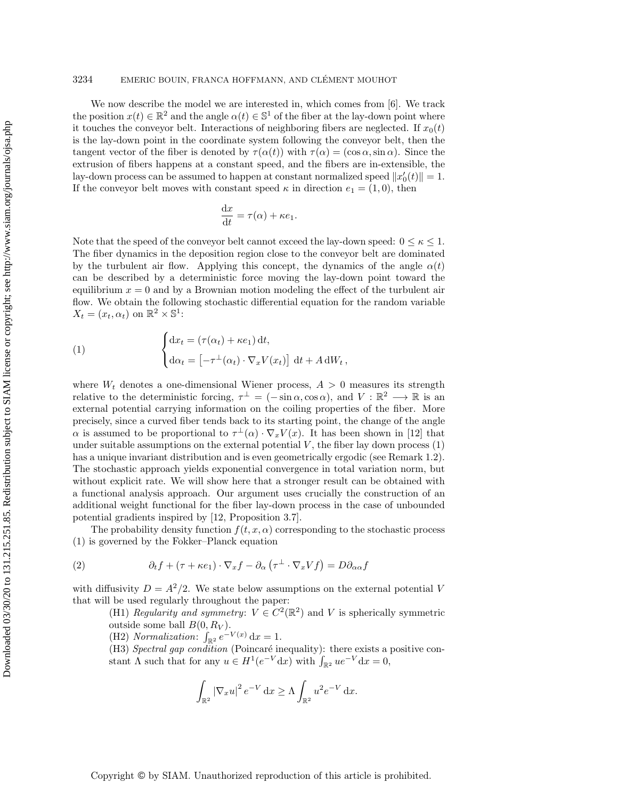# 3234 EMERIC BOUIN, FRANCA HOFFMANN, AND CLÉMENT MOUHOT

We now describe the model we are interested in, which comes from [\[6\]](#page-17-0). We track the position  $x(t) \in \mathbb{R}^2$  and the angle  $\alpha(t) \in \mathbb{S}^1$  of the fiber at the lay-down point where it touches the conveyor belt. Interactions of neighboring fibers are neglected. If  $x_0(t)$ is the lay-down point in the coordinate system following the conveyor belt, then the tangent vector of the fiber is denoted by  $\tau(\alpha(t))$  with  $\tau(\alpha) = (\cos \alpha, \sin \alpha)$ . Since the extrusion of fibers happens at a constant speed, and the fibers are in-extensible, the lay-down process can be assumed to happen at constant normalized speed  $||x'_0(t)|| = 1$ . If the conveyor belt moves with constant speed  $\kappa$  in direction  $e_1 = (1, 0)$ , then

$$
\frac{\mathrm{d}x}{\mathrm{d}t} = \tau(\alpha) + \kappa e_1.
$$

Note that the speed of the conveyor belt cannot exceed the lay-down speed:  $0 \leq \kappa \leq 1$ . The fiber dynamics in the deposition region close to the conveyor belt are dominated by the turbulent air flow. Applying this concept, the dynamics of the angle  $\alpha(t)$ can be described by a deterministic force moving the lay-down point toward the equilibrium  $x = 0$  and by a Brownian motion modeling the effect of the turbulent air flow. We obtain the following stochastic differential equation for the random variable  $X_t = (x_t, \alpha_t)$  on  $\mathbb{R}^2 \times \mathbb{S}^1$ :

<span id="page-1-0"></span>(1) 
$$
\begin{cases} dx_t = (\tau(\alpha_t) + \kappa e_1) dt, \\ d\alpha_t = \left[ -\tau^\perp(\alpha_t) \cdot \nabla_x V(x_t) \right] dt + A dW_t, \end{cases}
$$

where  $W_t$  denotes a one-dimensional Wiener process,  $A > 0$  measures its strength relative to the deterministic forcing,  $\tau^{\perp} = (-\sin \alpha, \cos \alpha)$ , and  $V : \mathbb{R}^2 \longrightarrow \mathbb{R}$  is an external potential carrying information on the coiling properties of the fiber. More precisely, since a curved fiber tends back to its starting point, the change of the angle  $\alpha$  is assumed to be proportional to  $\tau^{\perp}(\alpha) \cdot \nabla_x V(x)$ . It has been shown in [\[12\]](#page-17-4) that under suitable assumptions on the external potential  $V$ , the fiber lay down process  $(1)$ has a unique invariant distribution and is even geometrically ergodic (see Remark [1.2\)](#page-2-0). The stochastic approach yields exponential convergence in total variation norm, but without explicit rate. We will show here that a stronger result can be obtained with a functional analysis approach. Our argument uses crucially the construction of an additional weight functional for the fiber lay-down process in the case of unbounded potential gradients inspired by [\[12,](#page-17-4) Proposition 3.7].

The probability density function  $f(t, x, \alpha)$  corresponding to the stochastic process [\(1\)](#page-1-0) is governed by the Fokker–Planck equation

(2) 
$$
\partial_t f + (\tau + \kappa e_1) \cdot \nabla_x f - \partial_\alpha (\tau^\perp \cdot \nabla_x V f) = D \partial_{\alpha \alpha} f
$$

with diffusivity  $D = A^2/2$ . We state below assumptions on the external potential V that will be used regularly throughout the paper:

> <span id="page-1-1"></span>(H1) Regularity and symmetry:  $V \in C^2(\mathbb{R}^2)$  and V is spherically symmetric outside some ball  $B(0, R_V)$ .

(H2) Normalization:  $\int_{\mathbb{R}^2} e^{-V(x)} dx = 1$ .

 $(H3)$  Spectral gap condition (Poincaré inequality): there exists a positive constant  $\Lambda$  such that for any  $u \in H^1(e^{-V} dx)$  with  $\int_{\mathbb{R}^2} u e^{-V} dx = 0$ ,

$$
\int_{\mathbb{R}^2} |\nabla_x u|^2 e^{-V} dx \ge \Lambda \int_{\mathbb{R}^2} u^2 e^{-V} dx.
$$

Copyright © by SIAM. Unauthorized reproduction of this article is prohibited.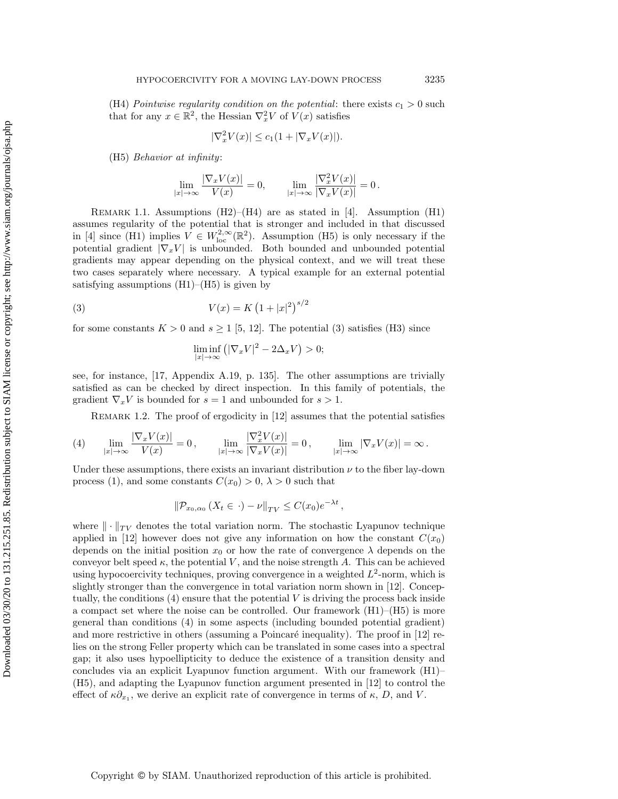(H4) Pointwise regularity condition on the potential: there exists  $c_1 > 0$  such that for any  $x \in \mathbb{R}^2$ , the Hessian  $\nabla_x^2 V$  of  $V(x)$  satisfies

$$
|\nabla_x^2 V(x)| \le c_1(1 + |\nabla_x V(x)|).
$$

(H5) Behavior at infinity:

$$
\lim_{|x|\to\infty}\frac{|\nabla_x V(x)|}{V(x)}=0,\qquad \lim_{|x|\to\infty}\frac{|\nabla_x^2 V(x)|}{|\nabla_x V(x)|}=0\,.
$$

REMARK 1.1. Assumptions  $(H2)$ – $(H4)$  are as stated in [\[4\]](#page-17-3). Assumption (H1) assumes regularity of the potential that is stronger and included in that discussed in [\[4\]](#page-17-3) since (H1) implies  $V \in W^{2,\infty}_{loc}(\mathbb{R}^2)$ . Assumption (H5) is only necessary if the potential gradient  $|\nabla_x V|$  is unbounded. Both bounded and unbounded potential gradients may appear depending on the physical context, and we will treat these two cases separately where necessary. A typical example for an external potential satisfying assumptions  $(H1)$ – $(H5)$  is given by

(3) 
$$
V(x) = K (1 + |x|^2)^{s/2}
$$

for some constants  $K > 0$  and  $s \ge 1$  [\[5,](#page-17-6) [12\]](#page-17-4). The potential [\(3\)](#page-2-1) satisfies (H3) since

<span id="page-2-1"></span>
$$
\liminf_{|x| \to \infty} (|\nabla_x V|^2 - 2\Delta_x V) > 0;
$$

see, for instance, [\[17,](#page-18-2) Appendix A.19, p. 135]. The other assumptions are trivially satisfied as can be checked by direct inspection. In this family of potentials, the gradient  $\nabla_x V$  is bounded for  $s = 1$  and unbounded for  $s > 1$ .

<span id="page-2-2"></span><span id="page-2-0"></span>REMARK 1.2. The proof of ergodicity in [\[12\]](#page-17-4) assumes that the potential satisfies

$$
(4) \qquad \lim_{|x|\to\infty}\frac{|\nabla_xV(x)|}{V(x)}=0\,,\qquad \lim_{|x|\to\infty}\frac{|\nabla_x^2V(x)|}{|\nabla_xV(x)|}=0\,,\qquad \lim_{|x|\to\infty}|\nabla_xV(x)|=\infty\,.
$$

Under these assumptions, there exists an invariant distribution  $\nu$  to the fiber lay-down process [\(1\)](#page-1-0), and some constants  $C(x_0) > 0$ ,  $\lambda > 0$  such that

$$
\|\mathcal{P}_{x_0,\alpha_0}\left(X_t\in\cdot\right)-\nu\|_{TV}\leq C(x_0)e^{-\lambda t}\,,
$$

where  $\|\cdot\|_{TV}$  denotes the total variation norm. The stochastic Lyapunov technique applied in [\[12\]](#page-17-4) however does not give any information on how the constant  $C(x_0)$ depends on the initial position  $x_0$  or how the rate of convergence  $\lambda$  depends on the conveyor belt speed  $\kappa$ , the potential V, and the noise strength A. This can be achieved using hypocoercivity techniques, proving convergence in a weighted  $L^2$ -norm, which is slightly stronger than the convergence in total variation norm shown in [\[12\]](#page-17-4). Conceptually, the conditions  $(4)$  ensure that the potential V is driving the process back inside a compact set where the noise can be controlled. Our framework  $(H1)$ – $(H5)$  is more general than conditions [\(4\)](#page-2-2) in some aspects (including bounded potential gradient) and more restrictive in others (assuming a Poincaré inequality). The proof in  $[12]$  relies on the strong Feller property which can be translated in some cases into a spectral gap; it also uses hypoellipticity to deduce the existence of a transition density and concludes via an explicit Lyapunov function argument. With our framework (H1)– (H5), and adapting the Lyapunov function argument presented in [\[12\]](#page-17-4) to control the effect of  $\kappa \partial_{x_1}$ , we derive an explicit rate of convergence in terms of  $\kappa$ , D, and V.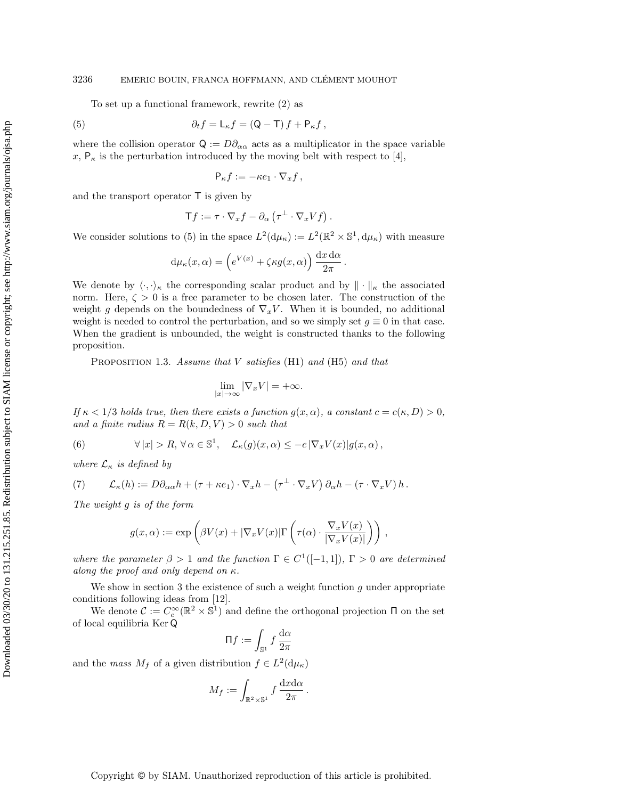## 3236 EMERIC BOUIN, FRANCA HOFFMANN, AND CLÉMENT MOUHOT

To set up a functional framework, rewrite [\(2\)](#page-1-1) as

(5) 
$$
\partial_t f = \mathsf{L}_{\kappa} f = (\mathsf{Q} - \mathsf{T}) f + \mathsf{P}_{\kappa} f,
$$

where the collision operator  $Q := D\partial_{\alpha\alpha}$  acts as a multiplicator in the space variable x,  $P_{\kappa}$  is the perturbation introduced by the moving belt with respect to [\[4\]](#page-17-3),

<span id="page-3-0"></span>
$$
\mathsf{P}_{\kappa}f := -\kappa e_1 \cdot \nabla_x f \,,
$$

and the transport operator T is given by

$$
\mathsf{T} f := \tau \cdot \nabla_x f - \partial_\alpha \left( \tau^\perp \cdot \nabla_x V f \right).
$$

We consider solutions to [\(5\)](#page-3-0) in the space  $L^2(\mathrm{d}\mu_\kappa) := L^2(\mathbb{R}^2 \times \mathbb{S}^1, \mathrm{d}\mu_\kappa)$  with measure

$$
d\mu_{\kappa}(x,\alpha) = \left(e^{V(x)} + \zeta \kappa g(x,\alpha)\right) \frac{dx \, d\alpha}{2\pi}.
$$

We denote by  $\langle \cdot, \cdot \rangle_{\kappa}$  the corresponding scalar product and by  $\|\cdot\|_{\kappa}$  the associated norm. Here,  $\zeta > 0$  is a free parameter to be chosen later. The construction of the weight g depends on the boundedness of  $\nabla_x V$ . When it is bounded, no additional weight is needed to control the perturbation, and so we simply set  $g \equiv 0$  in that case. When the gradient is unbounded, the weight is constructed thanks to the following proposition.

<span id="page-3-2"></span>PROPOSITION 1.3. Assume that  $V$  satisfies (H1) and (H5) and that

$$
\lim_{|x| \to \infty} |\nabla_x V| = +\infty.
$$

If  $\kappa < 1/3$  holds true, then there exists a function  $g(x, \alpha)$ , a constant  $c = c(\kappa, D) > 0$ , and a finite radius  $R = R(k, D, V) > 0$  such that

<span id="page-3-3"></span>(6) 
$$
\forall |x| > R, \forall \alpha \in \mathbb{S}^1, \quad \mathcal{L}_{\kappa}(g)(x,\alpha) \leq -c |\nabla_x V(x)| g(x,\alpha),
$$

where  $\mathcal{L}_{\kappa}$  is defined by

<span id="page-3-1"></span>(7) 
$$
\mathcal{L}_{\kappa}(h) := D\partial_{\alpha\alpha}h + (\tau + \kappa e_1) \cdot \nabla_x h - (\tau^{\perp} \cdot \nabla_x V) \partial_{\alpha}h - (\tau \cdot \nabla_x V) h.
$$

The weight g is of the form

$$
g(x,\alpha) := \exp\left(\beta V(x) + |\nabla_x V(x)| \Gamma\left(\tau(\alpha) \cdot \frac{\nabla_x V(x)}{|\nabla_x V(x)|}\right)\right),
$$

where the parameter  $\beta > 1$  and the function  $\Gamma \in C^1([-1,1])$ ,  $\Gamma > 0$  are determined along the proof and only depend on  $\kappa$ .

We show in section [3](#page-11-0) the existence of such a weight function  $g$  under appropriate conditions following ideas from [\[12\]](#page-17-4).

We denote  $\mathcal{C} := C_c^{\infty}(\mathbb{R}^2 \times \mathbb{S}^1)$  and define the orthogonal projection  $\Pi$  on the set of local equilibria Ker Q

$$
\Pi f := \int_{\mathbb{S}^1} f \, \frac{\mathrm{d}\alpha}{2\pi}
$$

and the *mass*  $M_f$  of a given distribution  $f \in L^2(\mathrm{d}\mu_\kappa)$ 

$$
M_f := \int_{\mathbb{R}^2 \times \mathbb{S}^1} f \frac{dx d\alpha}{2\pi}.
$$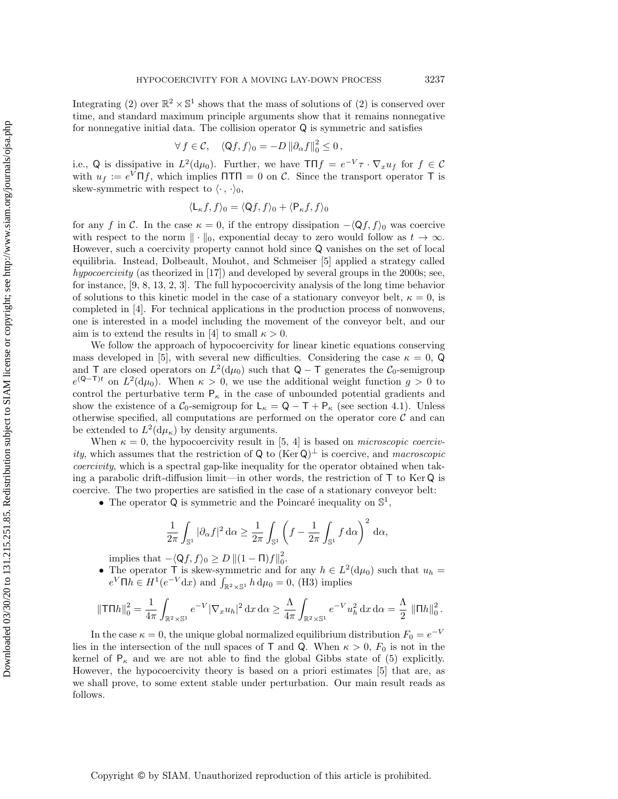Integrating [\(2\)](#page-1-1) over  $\mathbb{R}^2 \times \mathbb{S}^1$  shows that the mass of solutions of (2) is conserved over time, and standard maximum principle arguments show that it remains nonnegative for nonnegative initial data. The collision operator  $Q$  is symmetric and satisfies

$$
\forall f \in \mathcal{C}, \quad \langle \mathsf{Q}f, f \rangle_0 = -D \left\| \partial_{\alpha}f \right\|_0^2 \leq 0,
$$

i.e., Q is dissipative in  $L^2(\mathrm{d}\mu_0)$ . Further, we have  $T \Pi f = e^{-V} \tau \cdot \nabla_x u_f$  for  $f \in \mathcal{C}$ with  $u_f := e^V \Pi f$ , which implies  $\Pi \Pi = 0$  on C. Since the transport operator T is skew-symmetric with respect to  $\langle \cdot, \cdot \rangle_0$ ,

$$
\langle \mathsf{L}_{\kappa} f, f \rangle_0 = \langle \mathsf{Q} f, f \rangle_0 + \langle \mathsf{P}_{\kappa} f, f \rangle_0
$$

for any f in C. In the case  $\kappa = 0$ , if the entropy dissipation  $-\langle Qf, f \rangle_0$  was coercive with respect to the norm  $\|\cdot\|_0$ , exponential decay to zero would follow as  $t \to \infty$ . However, such a coercivity property cannot hold since Q vanishes on the set of local equilibria. Instead, Dolbeault, Mouhot, and Schmeiser [\[5\]](#page-17-6) applied a strategy called hypocoercivity (as theorized in [\[17\]](#page-18-2)) and developed by several groups in the 2000s; see, for instance, [\[9,](#page-17-7) [8,](#page-17-8) [13,](#page-18-3) [2,](#page-17-9) [3\]](#page-17-10). The full hypocoercivity analysis of the long time behavior of solutions to this kinetic model in the case of a stationary conveyor belt,  $\kappa = 0$ , is completed in [\[4\]](#page-17-3). For technical applications in the production process of nonwovens, one is interested in a model including the movement of the conveyor belt, and our aim is to extend the results in [\[4\]](#page-17-3) to small  $\kappa > 0$ .

We follow the approach of hypocoercivity for linear kinetic equations conserving mass developed in [\[5\]](#page-17-6), with several new difficulties. Considering the case  $\kappa = 0$ , Q and T are closed operators on  $L^2(\mathrm{d}\mu_0)$  such that  $\mathsf{Q} - \mathsf{T}$  generates the  $\mathcal{C}_0$ -semigroup  $e^{(Q-T)t}$  on  $L^2(d\mu_0)$ . When  $\kappa > 0$ , we use the additional weight function  $g > 0$  to control the perturbative term  $P_{\kappa}$  in the case of unbounded potential gradients and show the existence of a  $\mathcal{C}_0$ -semigroup for  $L_{\kappa} = Q - T + P_{\kappa}$  (see section [4.1\)](#page-14-0). Unless otherwise specified, all computations are performed on the operator core  $\mathcal C$  and can be extended to  $L^2(\mathrm{d}\mu_\kappa)$  by density arguments.

When  $\kappa = 0$ , the hypocoercivity result in [\[5,](#page-17-6) [4\]](#page-17-3) is based on *microscopic coerciv*ity, which assumes that the restriction of Q to  $(\text{Ker }Q)^{\perp}$  is coercive, and macroscopic coercivity, which is a spectral gap-like inequality for the operator obtained when taking a parabolic drift-diffusion limit—in other words, the restriction of  $\mathsf T$  to Ker  $\mathsf Q$  is coercive. The two properties are satisfied in the case of a stationary conveyor belt:

• The operator  $\mathsf Q$  is symmetric and the Poincaré inequality on  $\mathbb S^1$ ,

$$
\frac{1}{2\pi} \int_{\mathbb{S}^1} |\partial_{\alpha} f|^2 \, d\alpha \ge \frac{1}{2\pi} \int_{\mathbb{S}^1} \left( f - \frac{1}{2\pi} \int_{\mathbb{S}^1} f \, d\alpha \right)^2 \, d\alpha,
$$

implies that  $-\langle Qf, f \rangle_0 \geq D ||(1 - \Pi)f||_0^2$ .

• The operator T is skew-symmetric and for any  $h \in L^2(\mathrm{d}\mu_0)$  such that  $u_h =$  $e^V \Pi h \in H^1(e^{-V} dx)$  and  $\int_{\mathbb{R}^2 \times \mathbb{S}^1} h d\mu_0 = 0$ , (H3) implies

$$
\|\mathsf{T} \Pi h\|_0^2 = \frac{1}{4\pi} \int_{\mathbb{R}^2 \times \mathbb{S}^1} e^{-V} |\nabla_x u_h|^2 \, \mathrm{d}x \, \mathrm{d}\alpha \ge \frac{\Lambda}{4\pi} \int_{\mathbb{R}^2 \times \mathbb{S}^1} e^{-V} u_h^2 \, \mathrm{d}x \, \mathrm{d}\alpha = \frac{\Lambda}{2} \, \left\| \Pi h \right\|_0^2.
$$

<span id="page-4-0"></span>In the case  $\kappa = 0$ , the unique global normalized equilibrium distribution  $F_0 = e^{-V}$ lies in the intersection of the null spaces of T and Q. When  $\kappa > 0$ ,  $F_0$  is not in the kernel of  $P_{\kappa}$  and we are not able to find the global Gibbs state of [\(5\)](#page-3-0) explicitly. However, the hypocoercivity theory is based on a priori estimates [\[5\]](#page-17-6) that are, as we shall prove, to some extent stable under perturbation. Our main result reads as follows.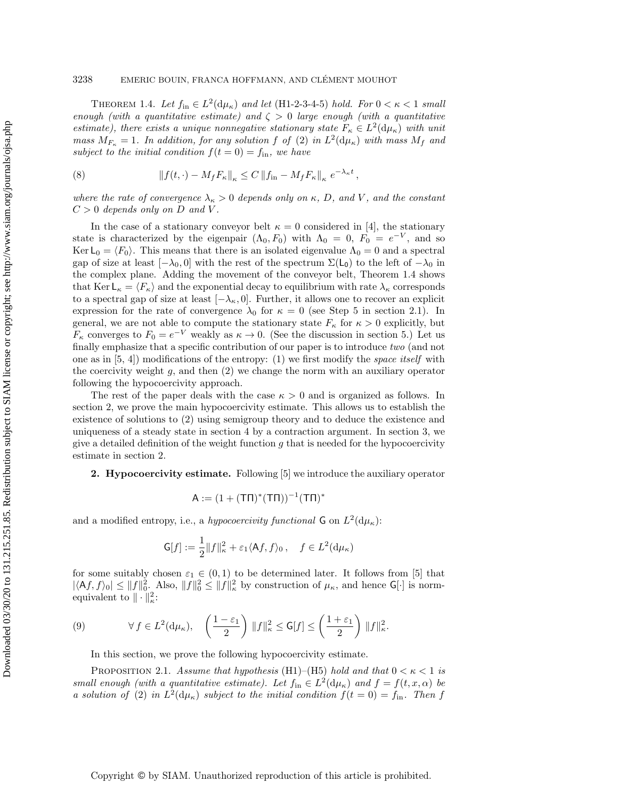THEOREM 1.4. Let  $f_{\text{in}} \in L^2(\mathrm{d}\mu_{\kappa})$  and let (H1-2-3-4-5) hold. For  $0 < \kappa < 1$  small enough (with a quantitative estimate) and  $\zeta > 0$  large enough (with a quantitative estimate), there exists a unique nonnegative stationary state  $F_{\kappa} \in L^2(\mathrm{d}\mu_{\kappa})$  with unit mass  $M_{F_{\kappa}} = 1$ . In addition, for any solution f of [\(2\)](#page-1-1) in  $L^2(\mathrm{d}\mu_{\kappa})$  with mass  $M_f$  and subject to the initial condition  $f(t = 0) = f_{\text{in}}$ , we have

<span id="page-5-3"></span>(8) 
$$
\|f(t,\cdot) - M_f F_{\kappa}\|_{\kappa} \leq C \|f_{\rm in} - M_f F_{\kappa}\|_{\kappa} e^{-\lambda_{\kappa} t},
$$

where the rate of convergence  $\lambda_{\kappa} > 0$  depends only on  $\kappa$ , D, and V, and the constant  $C > 0$  depends only on D and V.

In the case of a stationary conveyor belt  $\kappa = 0$  considered in [\[4\]](#page-17-3), the stationary state is characterized by the eigenpair  $(\Lambda_0, F_0)$  with  $\Lambda_0 = 0$ ,  $F_0 = e^{-V}$ , and so Ker  $L_0 = \langle F_0 \rangle$ . This means that there is an isolated eigenvalue  $\Lambda_0 = 0$  and a spectral gap of size at least  $[-\lambda_0, 0]$  with the rest of the spectrum  $\Sigma(L_0)$  to the left of  $-\lambda_0$  in the complex plane. Adding the movement of the conveyor belt, Theorem [1.4](#page-4-0) shows that Ker  $\mathsf{L}_{\kappa} = \langle F_{\kappa} \rangle$  and the exponential decay to equilibrium with rate  $\lambda_{\kappa}$  corresponds to a spectral gap of size at least  $[-\lambda_{\kappa}, 0]$ . Further, it allows one to recover an explicit expression for the rate of convergence  $\lambda_0$  for  $\kappa = 0$  (see Step 5 in section [2.1\)](#page-6-0). In general, we are not able to compute the stationary state  $F_{\kappa}$  for  $\kappa > 0$  explicitly, but  $F_{\kappa}$  converges to  $F_0 = e^{-V}$  weakly as  $\kappa \to 0$ . (See the discussion in section [5.](#page-16-0)) Let us finally emphasize that a specific contribution of our paper is to introduce two (and not one as in  $[5, 4]$  $[5, 4]$ ) modifications of the entropy: (1) we first modify the *space itself* with the coercivity weight  $g$ , and then  $(2)$  we change the norm with an auxiliary operator following the hypocoercivity approach.

The rest of the paper deals with the case  $\kappa > 0$  and is organized as follows. In section [2,](#page-5-0) we prove the main hypocoercivity estimate. This allows us to establish the existence of solutions to [\(2\)](#page-1-1) using semigroup theory and to deduce the existence and uniqueness of a steady state in section [4](#page-14-1) by a contraction argument. In section [3,](#page-11-0) we give a detailed definition of the weight function  $g$  that is needed for the hypocoercivity estimate in section [2.](#page-5-0)

# <span id="page-5-0"></span>2. Hypocoercivity estimate. Following [\[5\]](#page-17-6) we introduce the auxiliary operator

$$
A := (1 + (T\Pi)^*(T\Pi))^{-1}(T\Pi)^*
$$

and a modified entropy, i.e., a hypocoercivity functional  $G$  on  $L^2(d\mu_{\kappa})$ :

$$
\mathsf{G}[f] := \frac{1}{2} ||f||_{\kappa}^2 + \varepsilon_1 \langle \mathsf{A}f, f \rangle_0, \quad f \in L^2(\mathrm{d}\mu_{\kappa})
$$

for some suitably chosen  $\varepsilon_1 \in (0,1)$  to be determined later. It follows from [\[5\]](#page-17-6) that  $|\langle Af, f \rangle_0| \leq ||f||_0^2$ . Also,  $||f||_0^2 \leq ||f||_\kappa^2$  by construction of  $\mu_\kappa$ , and hence G[·] is normequivalent to  $\|\cdot\|_{\kappa}^2$ :

(9) 
$$
\forall f \in L^{2}(\mathrm{d}\mu_{\kappa}), \quad \left(\frac{1-\varepsilon_{1}}{2}\right) \|f\|_{\kappa}^{2} \leq \mathsf{G}[f] \leq \left(\frac{1+\varepsilon_{1}}{2}\right) \|f\|_{\kappa}^{2}.
$$

<span id="page-5-2"></span>In this section, we prove the following hypocoercivity estimate.

<span id="page-5-1"></span>PROPOSITION 2.1. Assume that hypothesis (H1)–(H5) hold and that  $0 < \kappa < 1$  is small enough (with a quantitative estimate). Let  $f_{\text{in}} \in L^2(\mathrm{d}\mu_\kappa)$  and  $f = f(t, x, \alpha)$  be a solution of [\(2\)](#page-1-1) in  $L^2(d\mu_\kappa)$  subject to the initial condition  $f(t=0) = f_{\rm in}$ . Then f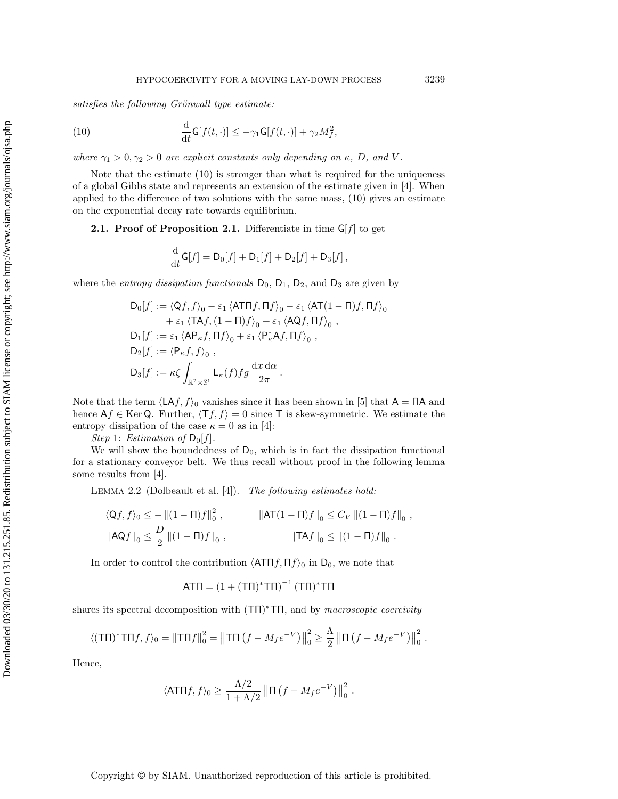$satisfies the following Gr"onwall type estimate:$ 

<span id="page-6-1"></span>(10) 
$$
\frac{\mathrm{d}}{\mathrm{d}t}\mathsf{G}[f(t,\cdot)] \leq -\gamma_1 \mathsf{G}[f(t,\cdot)] + \gamma_2 M_f^2,
$$

where  $\gamma_1 > 0$ ,  $\gamma_2 > 0$  are explicit constants only depending on  $\kappa$ , D, and V.

Note that the estimate [\(10\)](#page-6-1) is stronger than what is required for the uniqueness of a global Gibbs state and represents an extension of the estimate given in [\[4\]](#page-17-3). When applied to the difference of two solutions with the same mass, [\(10\)](#page-6-1) gives an estimate on the exponential decay rate towards equilibrium.

<span id="page-6-0"></span>**2.1. Proof of Proposition [2.1.](#page-5-1)** Differentiate in time  $G[f]$  to get

$$
\frac{\mathrm{d}}{\mathrm{d}t}\mathsf{G}[f] = \mathsf{D}_0[f] + \mathsf{D}_1[f] + \mathsf{D}_2[f] + \mathsf{D}_3[f],
$$

where the *entropy dissipation functionals*  $D_0$ ,  $D_1$ ,  $D_2$ , and  $D_3$  are given by

$$
D_0[f] := \langle Qf, f \rangle_0 - \varepsilon_1 \langle ATTf, \Pi f \rangle_0 - \varepsilon_1 \langle AT(1-\Pi)f, \Pi f \rangle_0
$$
  
+  $\varepsilon_1 \langle TAf, (1-\Pi)f \rangle_0 + \varepsilon_1 \langle AQf, \Pi f \rangle_0$ ,  

$$
D_1[f] := \varepsilon_1 \langle AP_{\kappa}f, \Pi f \rangle_0 + \varepsilon_1 \langle P_{\kappa}^*Af, \Pi f \rangle_0,
$$
  

$$
D_2[f] := \langle P_{\kappa}f, f \rangle_0,
$$
  

$$
D_3[f] := \kappa \zeta \int_{\mathbb{R}^2 \times \mathbb{S}^1} L_{\kappa}(f) fg \frac{dx d\alpha}{2\pi}.
$$

Note that the term  $\langle LAf, f\rangle_0$  vanishes since it has been shown in [\[5\]](#page-17-6) that  $A = \Pi A$  and hence  $Af \in \text{Ker } Q$ . Further,  $\langle Tf, f \rangle = 0$  since T is skew-symmetric. We estimate the entropy dissipation of the case  $\kappa = 0$  as in [\[4\]](#page-17-3):

Step 1: Estimation of  $D_0[f]$ .

We will show the boundedness of  $D_0$ , which is in fact the dissipation functional for a stationary conveyor belt. We thus recall without proof in the following lemma some results from [\[4\]](#page-17-3).

<span id="page-6-2"></span>Lemma 2.2 (Dolbeault et al. [\[4\]](#page-17-3)). The following estimates hold:

$$
\langle Qf, f \rangle_0 \le - \|(1 - \Pi)f\|_0^2, \qquad \|\mathsf{AT}(1 - \Pi)f\|_0 \le C_V \|(1 - \Pi)f\|_0,
$$
  

$$
\|\mathsf{AQ}f\|_0 \le \frac{D}{2} \|(1 - \Pi)f\|_0, \qquad \|\mathsf{TA}f\|_0 \le \|(1 - \Pi)f\|_0.
$$

In order to control the contribution  $\langle \mathbf{AT}\mathbf{\Pi} f, \mathbf{\Pi} f \rangle_0$  in D<sub>0</sub>, we note that

$$
AT\Pi = (1 + (T\Pi)^* T\Pi)^{-1} (T\Pi)^* T\Pi
$$

shares its spectral decomposition with  $(T\Pi)^* T\Pi$ , and by macroscopic coercivity

$$
\langle (\mathsf{T}\Pi)^* \mathsf{T}\Pi f, f \rangle_0 = ||\mathsf{T}\Pi f||_0^2 = ||\mathsf{T}\Pi (f - M_f e^{-V})||_0^2 \ge \frac{\Lambda}{2} ||\mathsf{\Pi} (f - M_f e^{-V})||_0^2.
$$

Hence,

$$
\langle \mathsf{ATT}f, f \rangle_0 \geq \frac{\Lambda/2}{1 + \Lambda/2} \left\| \mathsf{\Pi} \left( f - M_f e^{-V} \right) \right\|_0^2.
$$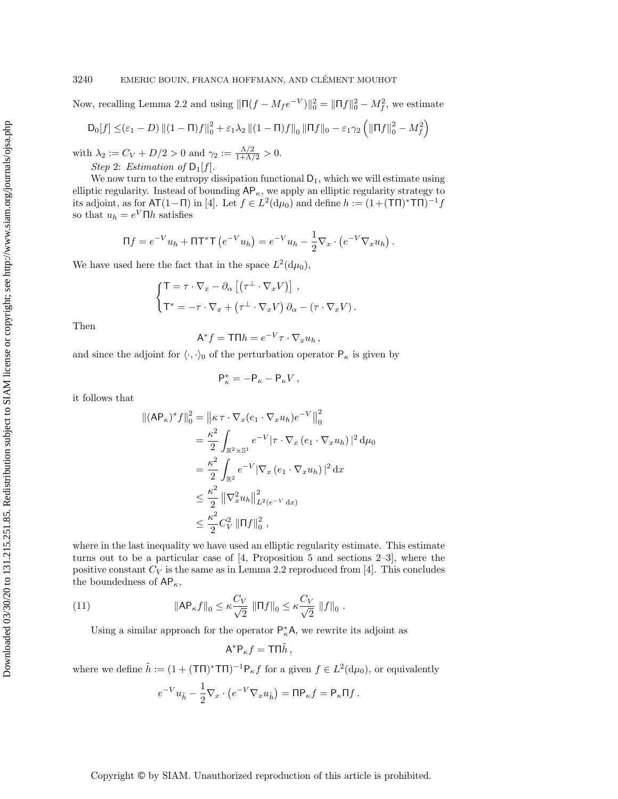#### 3240 EMERIC BOUIN, FRANCA HOFFMANN, AND CLÉMENT MOUHOT

Now, recalling Lemma [2.2](#page-6-2) and using  $\|\Pi(f - M_f e^{-V})\|_0^2 = \|\Pi f\|_0^2 - M_f^2$ , we estimate

$$
D_0[f] \leq (\varepsilon_1 - D) ||(1 - \Pi)f||_0^2 + \varepsilon_1 \lambda_2 ||(1 - \Pi)f||_0 ||\Pi f||_0 - \varepsilon_1 \gamma_2 \left( ||\Pi f||_0^2 - M_f^2 \right)
$$

with  $\lambda_2 := C_V + D/2 > 0$  and  $\gamma_2 := \frac{\Lambda/2}{1 + \Lambda/2} > 0$ . Step 2: Estimation of  $D_1[f]$ .

We now turn to the entropy dissipation functional  $D_1$ , which we will estimate using elliptic regularity. Instead of bounding  $AP_{\kappa}$ , we apply an elliptic regularity strategy to its adjoint, as for  $AT(1-\Pi)$  in [\[4\]](#page-17-3). Let  $f \in L^2(d\mu_0)$  and define  $h := (1+(TT))^*TT$ so that  $u_h = e^V \Pi h$  satisfies

$$
\Pi f = e^{-V}u_h + \Pi T^*T(e^{-V}u_h) = e^{-V}u_h - \frac{1}{2}\nabla_x \cdot (e^{-V}\nabla_x u_h).
$$

We have used here the fact that in the space  $L^2(\mathrm{d}\mu_0)$ ,

$$
\begin{cases}\n\mathsf{T} = \tau \cdot \nabla_x - \partial_\alpha \left[ \left( \tau^\perp \cdot \nabla_x V \right) \right], \\
\mathsf{T}^* = -\tau \cdot \nabla_x + \left( \tau^\perp \cdot \nabla_x V \right) \partial_\alpha - \left( \tau \cdot \nabla_x V \right). \n\end{cases}
$$

Then

$$
A^* f = T \Pi h = e^{-V} \tau \cdot \nabla_x u_h,
$$

and since the adjoint for  $\langle \cdot, \cdot \rangle_0$  of the perturbation operator  $P_{\kappa}$  is given by

$$
\mathsf{P}_\kappa^* = - \mathsf{P}_\kappa - \mathsf{P}_\kappa V \,,
$$

it follows that

$$
\begin{split} \| (A \mathsf{P}_{\kappa})^* f \|_0^2 &= \left\| \kappa \, \tau \cdot \nabla_x (e_1 \cdot \nabla_x u_h) e^{-V} \right\|_0^2 \\ &= \frac{\kappa^2}{2} \int_{\mathbb{R}^2 \times \mathbb{S}^1} e^{-V} |\tau \cdot \nabla_x (e_1 \cdot \nabla_x u_h)|^2 \, \mathrm{d} \mu_0 \\ &= \frac{\kappa^2}{2} \int_{\mathbb{R}^2} e^{-V} |\nabla_x (e_1 \cdot \nabla_x u_h)|^2 \, \mathrm{d} x \\ &\leq \frac{\kappa^2}{2} \left\| \nabla_x^2 u_h \right\|_{L^2(e^{-V} \, \mathrm{d} x)}^2 \\ &\leq \frac{\kappa^2}{2} C_V^2 \left\| \Pi f \right\|_0^2, \end{split}
$$

where in the last inequality we have used an elliptic regularity estimate. This estimate turns out to be a particular case of  $[4,$  Proposition 5 and sections  $2-3$ , where the positive constant  $C_V$  is the same as in Lemma [2.2](#page-6-2) reproduced from [\[4\]](#page-17-3). This concludes the boundedness of  $AP_{\kappa}$ ,

(11) 
$$
\|AP_{\kappa}f\|_{0} \leq \kappa \frac{C_V}{\sqrt{2}} \|\Pi f\|_{0} \leq \kappa \frac{C_V}{\sqrt{2}} \|f\|_{0}.
$$

Using a similar approach for the operator  $\mathsf{P}^*_\kappa \mathsf{A}$ , we rewrite its adjoint as

<span id="page-7-0"></span>
$$
A^*P_\kappa f = T\Pi \tilde{h},
$$

where we define  $\tilde{h} := (1 + (T\Pi)^* T\Pi)^{-1} P_{\kappa} f$  for a given  $f \in L^2(d\mu_0)$ , or equivalently

$$
e^{-V}u_{\tilde{h}}-\frac{1}{2}\nabla_x\cdot\left(e^{-V}\nabla_x u_{\tilde{h}}\right)=\Pi\mathsf{P}_{\kappa}f=\mathsf{P}_{\kappa}\Pi f\,.
$$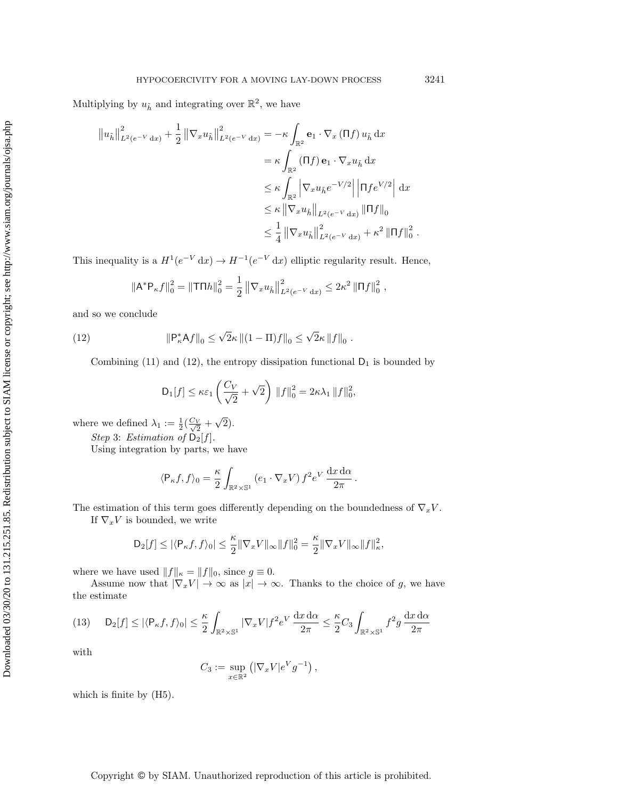Multiplying by  $u_{\tilde{h}}$  and integrating over  $\mathbb{R}^2$ , we have

$$
\|u_{\tilde{h}}\|_{L^{2}(e^{-V}dx)}^{2} + \frac{1}{2} \|\nabla_{x}u_{\tilde{h}}\|_{L^{2}(e^{-V}dx)}^{2} = -\kappa \int_{\mathbb{R}^{2}} \mathbf{e}_{1} \cdot \nabla_{x} (\Pi f) u_{\tilde{h}} dx
$$
  
\n
$$
= \kappa \int_{\mathbb{R}^{2}} (\Pi f) \mathbf{e}_{1} \cdot \nabla_{x} u_{\tilde{h}} dx
$$
  
\n
$$
\leq \kappa \int_{\mathbb{R}^{2}} \left|\nabla_{x}u_{\tilde{h}}e^{-V/2}\right| \left|\Pi f e^{V/2}\right| dx
$$
  
\n
$$
\leq \kappa \left|\nabla_{x}u_{\tilde{h}}\right|_{L^{2}(e^{-V}dx)} \|\Pi f\|_{0}
$$
  
\n
$$
\leq \frac{1}{4} \left|\nabla_{x}u_{\tilde{h}}\right|_{L^{2}(e^{-V}dx)}^{2} + \kappa^{2} \|\Pi f\|_{0}^{2}.
$$

This inequality is a  $H^1(e^{-V} dx) \to H^{-1}(e^{-V} dx)$  elliptic regularity result. Hence,

$$
\|\mathsf{A}^*\mathsf{P}_{\kappa}f\|_0^2 = \|\mathsf{T}\mathsf{\Pi}h\|_0^2 = \frac{1}{2} \left\|\nabla_x u_{\tilde{h}}\right\|_{L^2(e^{-V} dx)}^2 \leq 2\kappa^2 \left\|\mathsf{\Pi}f\right\|_0^2,
$$

and so we conclude

(12) 
$$
\|P_{\kappa}^* A f\|_0 \le \sqrt{2}\kappa \| (1 - \Pi) f\|_0 \le \sqrt{2}\kappa \|f\|_0.
$$

Combining [\(11\)](#page-7-0) and [\(12\)](#page-8-0), the entropy dissipation functional  $D_1$  is bounded by

<span id="page-8-0"></span>
$$
\mathsf{D}_1[f] \leq \kappa \varepsilon_1 \left( \frac{C_V}{\sqrt{2}} + \sqrt{2} \right) ||f||_0^2 = 2\kappa \lambda_1 ||f||_0^2,
$$

where we defined  $\lambda_1 := \frac{1}{2}(\frac{C_V}{\sqrt{2}} +$ √ 2).

Step 3: Estimation of  $D_2[f]$ .

Using integration by parts, we have

$$
\langle \mathsf{P}_{\kappa} f, f \rangle_0 = \frac{\kappa}{2} \int_{\mathbb{R}^2 \times \mathbb{S}^1} \left( e_1 \cdot \nabla_x V \right) f^2 e^V \, \frac{\mathrm{d} x \, \mathrm{d} \alpha}{2\pi} \, .
$$

The estimation of this term goes differently depending on the boundedness of  $\nabla_x V$ .

If  $\nabla_x V$  is bounded, we write

$$
\mathsf{D}_2[f] \leq |\langle \mathsf{P}_{\kappa}f, f \rangle_0| \leq \frac{\kappa}{2} ||\nabla_x V||_{\infty} ||f||_0^2 = \frac{\kappa}{2} ||\nabla_x V||_{\infty} ||f||_{\kappa}^2,
$$

where we have used  $\|f\|_\kappa = \|f\|_0,$  since  $g \equiv 0.$ 

Assume now that  $|\nabla_x V| \to \infty$  as  $|x| \to \infty$ . Thanks to the choice of g, we have the estimate

<span id="page-8-1"></span>
$$
(13) \qquad \mathsf{D}_{2}[f] \leq |\langle \mathsf{P}_{\kappa}f, f \rangle_{0}| \leq \frac{\kappa}{2} \int_{\mathbb{R}^{2} \times \mathbb{S}^{1}} |\nabla_{x}V| f^{2} e^{V} \frac{dx \, d\alpha}{2\pi} \leq \frac{\kappa}{2} C_{3} \int_{\mathbb{R}^{2} \times \mathbb{S}^{1}} f^{2} g \, \frac{dx \, d\alpha}{2\pi}
$$

with

$$
C_3 := \sup_{x \in \mathbb{R}^2} \left( |\nabla_x V| e^V g^{-1} \right),
$$

which is finite by  $(H5)$ .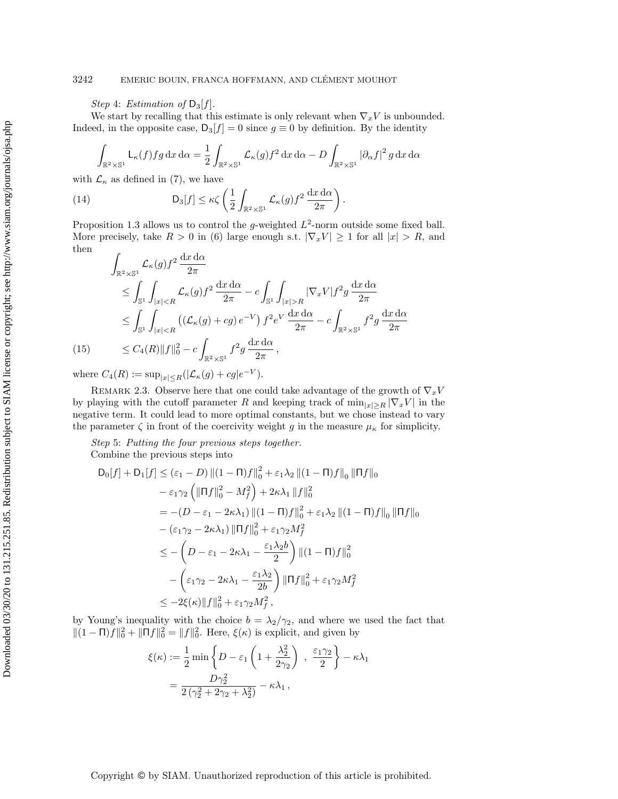Step 4: Estimation of  $D_3[f]$ .

We start by recalling that this estimate is only relevant when  $\nabla_x V$  is unbounded. Indeed, in the opposite case,  $D_3[f] = 0$  since  $g \equiv 0$  by definition. By the identity

$$
\int_{\mathbb{R}^2 \times \mathbb{S}^1} \mathsf{L}_{\kappa}(f) f g \, dx \, d\alpha = \frac{1}{2} \int_{\mathbb{R}^2 \times \mathbb{S}^1} \mathcal{L}_{\kappa}(g) f^2 \, dx \, d\alpha - D \int_{\mathbb{R}^2 \times \mathbb{S}^1} |\partial_{\alpha} f|^2 g \, dx \, d\alpha
$$

with  $\mathcal{L}_{\kappa}$  as defined in [\(7\)](#page-3-1), we have

(14) 
$$
D_3[f] \leq \kappa \zeta \left(\frac{1}{2} \int_{\mathbb{R}^2 \times \mathbb{S}^1} \mathcal{L}_{\kappa}(g) f^2 \frac{dx \, d\alpha}{2\pi}\right).
$$

Proposition [1.3](#page-3-2) allows us to control the g-weighted  $L^2$ -norm outside some fixed ball. More precisely, take  $R > 0$  in [\(6\)](#page-3-3) large enough s.t.  $|\nabla_x V| \ge 1$  for all  $|x| > R$ , and then

$$
\int_{\mathbb{R}^2 \times \mathbb{S}^1} \mathcal{L}_{\kappa}(g) f^2 \frac{dx \, d\alpha}{2\pi}
$$
\n
$$
\leq \int_{\mathbb{S}^1} \int_{|x| < R} \mathcal{L}_{\kappa}(g) f^2 \frac{dx \, d\alpha}{2\pi} - c \int_{\mathbb{S}^1} \int_{|x| > R} |\nabla_x V| f^2 g \frac{dx \, d\alpha}{2\pi}
$$
\n
$$
\leq \int_{\mathbb{S}^1} \int_{|x| < R} \left( (\mathcal{L}_{\kappa}(g) + cg) e^{-V} \right) f^2 e^V \frac{dx \, d\alpha}{2\pi} - c \int_{\mathbb{R}^2 \times \mathbb{S}^1} f^2 g \frac{dx \, d\alpha}{2\pi}
$$
\n(15)\n
$$
\leq C_4(R) \|f\|_0^2 - c \int_{\mathbb{R}^2 \times \mathbb{S}^1} f^2 g \frac{dx \, d\alpha}{2\pi},
$$

where  $C_4(R) := \sup_{|x| \le R} (|\mathcal{L}_{\kappa}(g) + cg|e^{-V}).$ 

REMARK 2.3. Observe here that one could take advantage of the growth of  $\nabla_x V$ by playing with the cutoff parameter R and keeping track of  $\min_{|x|\geq R} |\nabla_x V|$  in the negative term. It could lead to more optimal constants, but we chose instead to vary the parameter  $\zeta$  in front of the coercivity weight g in the measure  $\mu_{\kappa}$  for simplicity.

Step 5: Putting the four previous steps together. Combine the previous steps into

$$
D_0[f] + D_1[f] \le (\varepsilon_1 - D) ||(1 - \Pi)f||_0^2 + \varepsilon_1 \lambda_2 ||(1 - \Pi)f||_0 ||\Pi f||_0
$$
  
\n
$$
- \varepsilon_1 \gamma_2 \left( ||\Pi f||_0^2 - M_f^2 \right) + 2\kappa \lambda_1 ||f||_0^2
$$
  
\n
$$
= -(D - \varepsilon_1 - 2\kappa \lambda_1) ||(1 - \Pi)f||_0^2 + \varepsilon_1 \lambda_2 ||(1 - \Pi)f||_0 ||\Pi f||_0
$$
  
\n
$$
- (\varepsilon_1 \gamma_2 - 2\kappa \lambda_1) ||\Pi f||_0^2 + \varepsilon_1 \gamma_2 M_f^2
$$
  
\n
$$
\le - \left( D - \varepsilon_1 - 2\kappa \lambda_1 - \frac{\varepsilon_1 \lambda_2 b}{2} \right) ||(1 - \Pi)f||_0^2
$$
  
\n
$$
- \left( \varepsilon_1 \gamma_2 - 2\kappa \lambda_1 - \frac{\varepsilon_1 \lambda_2}{2b} \right) ||\Pi f||_0^2 + \varepsilon_1 \gamma_2 M_f^2
$$
  
\n
$$
\le -2\xi(\kappa) ||f||_0^2 + \varepsilon_1 \gamma_2 M_f^2,
$$

by Young's inequality with the choice  $b = \lambda_2/\gamma_2$ , and where we used the fact that  $||(1 - \mathsf{\Pi})f||_0^2 + ||\mathsf{\Pi}f||_0^2 = ||f||_0^2$ . Here,  $\xi(\kappa)$  is explicit, and given by

$$
\xi(\kappa) := \frac{1}{2} \min \left\{ D - \varepsilon_1 \left( 1 + \frac{\lambda_2^2}{2\gamma_2} \right) , \frac{\varepsilon_1 \gamma_2}{2} \right\} - \kappa \lambda_1
$$

$$
= \frac{D\gamma_2^2}{2\left(\gamma_2^2 + 2\gamma_2 + \lambda_2^2\right)} - \kappa \lambda_1 ,
$$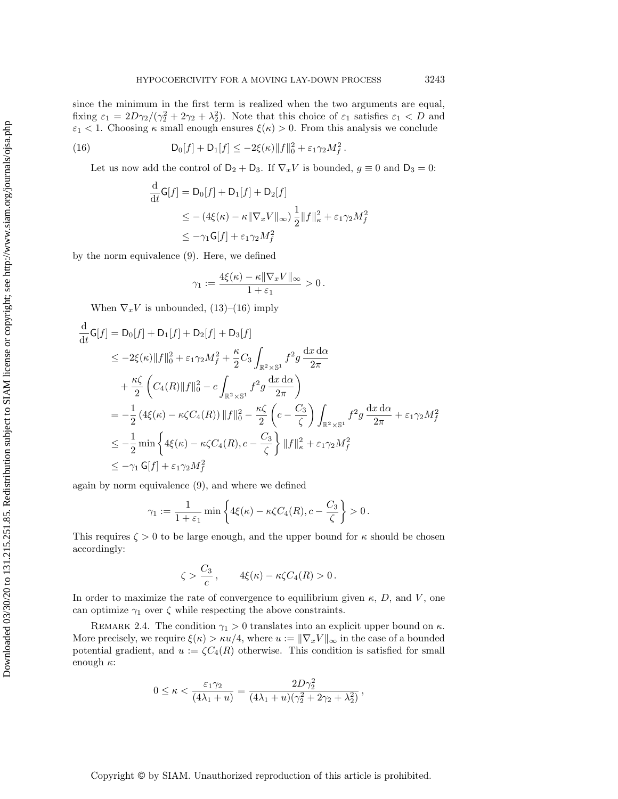since the minimum in the first term is realized when the two arguments are equal, fixing  $\varepsilon_1 = 2D\gamma_2/(\gamma_2^2 + 2\gamma_2 + \lambda_2^2)$ . Note that this choice of  $\varepsilon_1$  satisfies  $\varepsilon_1 < D$  and  $\varepsilon_1$  < 1. Choosing  $\kappa$  small enough ensures  $\xi(\kappa) > 0$ . From this analysis we conclude

<span id="page-10-0"></span>(16) 
$$
D_0[f] + D_1[f] \leq -2\xi(\kappa) \|f\|_0^2 + \varepsilon_1 \gamma_2 M_f^2.
$$

Let us now add the control of  $D_2 + D_3$ . If  $\nabla_x V$  is bounded,  $g \equiv 0$  and  $D_3 = 0$ :

$$
\frac{\mathrm{d}}{\mathrm{d}t}\mathsf{G}[f] = \mathsf{D}_0[f] + \mathsf{D}_1[f] + \mathsf{D}_2[f]
$$
\n
$$
\leq - (4\xi(\kappa) - \kappa \|\nabla_x V\|_{\infty}) \frac{1}{2} \|f\|_{\kappa}^2 + \varepsilon_1 \gamma_2 M_f^2
$$
\n
$$
\leq -\gamma_1 \mathsf{G}[f] + \varepsilon_1 \gamma_2 M_f^2
$$

by the norm equivalence [\(9\)](#page-5-2). Here, we defined

$$
\gamma_1 := \frac{4\xi(\kappa) - \kappa \|\nabla_x V\|_{\infty}}{1 + \varepsilon_1} > 0.
$$

When  $\nabla_x V$  is unbounded, [\(13\)](#page-8-1)–[\(16\)](#page-10-0) imply

$$
\frac{d}{dt}G[f] = D_0[f] + D_1[f] + D_2[f] + D_3[f] \n\leq -2\xi(\kappa) ||f||_0^2 + \varepsilon_1 \gamma_2 M_f^2 + \frac{\kappa}{2} C_3 \int_{\mathbb{R}^2 \times \mathbb{S}^1} f^2 g \frac{dx \, d\alpha}{2\pi} \n+ \frac{\kappa \zeta}{2} \left( C_4(R) ||f||_0^2 - c \int_{\mathbb{R}^2 \times \mathbb{S}^1} f^2 g \frac{dx \, d\alpha}{2\pi} \right) \n= -\frac{1}{2} (4\xi(\kappa) - \kappa \zeta C_4(R)) ||f||_0^2 - \frac{\kappa \zeta}{2} \left( c - \frac{C_3}{\zeta} \right) \int_{\mathbb{R}^2 \times \mathbb{S}^1} f^2 g \frac{dx \, d\alpha}{2\pi} + \varepsilon_1 \gamma_2 M_f^2 \n\leq -\frac{1}{2} \min \left\{ 4\xi(\kappa) - \kappa \zeta C_4(R), c - \frac{C_3}{\zeta} \right\} ||f||_{\kappa}^2 + \varepsilon_1 \gamma_2 M_f^2 \n\leq -\gamma_1 G[f] + \varepsilon_1 \gamma_2 M_f^2
$$

again by norm equivalence [\(9\)](#page-5-2), and where we defined

$$
\gamma_1 := \frac{1}{1+\varepsilon_1} \min \left\{ 4\xi(\kappa) - \kappa \zeta C_4(R), c - \frac{C_3}{\zeta} \right\} > 0.
$$

This requires  $\zeta > 0$  to be large enough, and the upper bound for  $\kappa$  should be chosen accordingly:

$$
\zeta > \frac{C_3}{c}, \qquad 4\xi(\kappa) - \kappa \zeta C_4(R) > 0.
$$

In order to maximize the rate of convergence to equilibrium given  $\kappa$ , D, and V, one can optimize  $\gamma_1$  over  $\zeta$  while respecting the above constraints.

REMARK 2.4. The condition  $\gamma_1 > 0$  translates into an explicit upper bound on  $\kappa$ . More precisely, we require  $\xi(\kappa) > \kappa u/4$ , where  $u := ||\nabla_x V||_{\infty}$  in the case of a bounded potential gradient, and  $u := \zeta C_4(R)$  otherwise. This condition is satisfied for small enough  $\kappa$ :

$$
0 \leq \kappa < \frac{\varepsilon_1 \gamma_2}{(4\lambda_1 + u)} = \frac{2D\gamma_2^2}{(4\lambda_1 + u)(\gamma_2^2 + 2\gamma_2 + \lambda_2^2)},
$$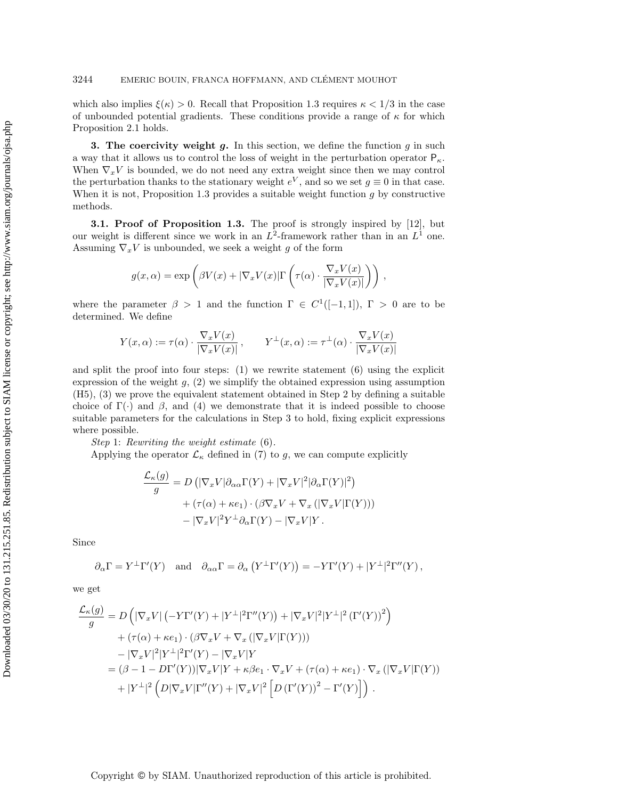which also implies  $\xi(\kappa) > 0$ . Recall that Proposition [1.3](#page-3-2) requires  $\kappa < 1/3$  in the case of unbounded potential gradients. These conditions provide a range of  $\kappa$  for which Proposition [2.1](#page-5-1) holds.

<span id="page-11-0"></span>**3.** The coercivity weight q. In this section, we define the function q in such a way that it allows us to control the loss of weight in the perturbation operator  $P_{\kappa}$ . When  $\nabla_x V$  is bounded, we do not need any extra weight since then we may control the perturbation thanks to the stationary weight  $e^V$ , and so we set  $g \equiv 0$  in that case. When it is not, Proposition [1.3](#page-3-2) provides a suitable weight function  $g$  by constructive methods.

**3.1. Proof of Proposition [1.3.](#page-3-2)** The proof is strongly inspired by [\[12\]](#page-17-4), but our weight is different since we work in an  $L^2$ -framework rather than in an  $L^1$  one. Assuming  $\nabla_x V$  is unbounded, we seek a weight g of the form

$$
g(x,\alpha) = \exp\left(\beta V(x) + |\nabla_x V(x)| \Gamma\left(\tau(\alpha) \cdot \frac{\nabla_x V(x)}{|\nabla_x V(x)|}\right)\right),
$$

where the parameter  $\beta > 1$  and the function  $\Gamma \in C^1([-1,1])$ ,  $\Gamma > 0$  are to be determined. We define

$$
Y(x, \alpha) := \tau(\alpha) \cdot \frac{\nabla_x V(x)}{|\nabla_x V(x)|}, \qquad Y^{\perp}(x, \alpha) := \tau^{\perp}(\alpha) \cdot \frac{\nabla_x V(x)}{|\nabla_x V(x)|}
$$

and split the proof into four steps:  $(1)$  we rewrite statement  $(6)$  using the explicit expression of the weight  $g$ ,  $(2)$  we simplify the obtained expression using assumption (H5), (3) we prove the equivalent statement obtained in Step 2 by defining a suitable choice of  $\Gamma(\cdot)$  and  $\beta$ , and (4) we demonstrate that it is indeed possible to choose suitable parameters for the calculations in Step 3 to hold, fixing explicit expressions where possible.

Step 1: Rewriting the weight estimate [\(6\)](#page-3-3).

Applying the operator  $\mathcal{L}_{\kappa}$  defined in [\(7\)](#page-3-1) to g, we can compute explicitly

$$
\frac{\mathcal{L}_{\kappa}(g)}{g} = D\left( |\nabla_x V| \partial_{\alpha \alpha} \Gamma(Y) + |\nabla_x V|^2 | \partial_{\alpha} \Gamma(Y) |^2 \right) \n+ (\tau(\alpha) + \kappa e_1) \cdot (\beta \nabla_x V + \nabla_x (|\nabla_x V| \Gamma(Y))) \n- |\nabla_x V|^2 Y^{\perp} \partial_{\alpha} \Gamma(Y) - |\nabla_x V| Y.
$$

Since

$$
\partial_{\alpha}\Gamma = Y^{\perp}\Gamma'(Y)
$$
 and  $\partial_{\alpha\alpha}\Gamma = \partial_{\alpha}\left(Y^{\perp}\Gamma'(Y)\right) = -Y\Gamma'(Y) + |Y^{\perp}|^2\Gamma''(Y)$ ,

we get

$$
\frac{\mathcal{L}_{\kappa}(g)}{g} = D\left(|\nabla_x V| \left(-Y\Gamma'(Y) + |Y^{\perp}|^2 \Gamma''(Y)\right) + |\nabla_x V|^2 |Y^{\perp}|^2 \left(\Gamma'(Y)\right)^2\right) \n+ \left(\tau(\alpha) + \kappa e_1\right) \cdot \left(\beta \nabla_x V + \nabla_x \left(|\nabla_x V|\Gamma(Y)\right)\right) \n- |\nabla_x V|^2 |Y^{\perp}|^2 \Gamma'(Y) - |\nabla_x V|Y \n= \left(\beta - 1 - D\Gamma'(Y)\right) |\nabla_x V|Y + \kappa \beta e_1 \cdot \nabla_x V + \left(\tau(\alpha) + \kappa e_1\right) \cdot \nabla_x \left(|\nabla_x V|\Gamma(Y)\right) \n+ |Y^{\perp}|^2 \left(D|\nabla_x V|\Gamma''(Y) + |\nabla_x V|^2 \left[D\left(\Gamma'(Y)\right)^2 - \Gamma'(Y)\right]\right).
$$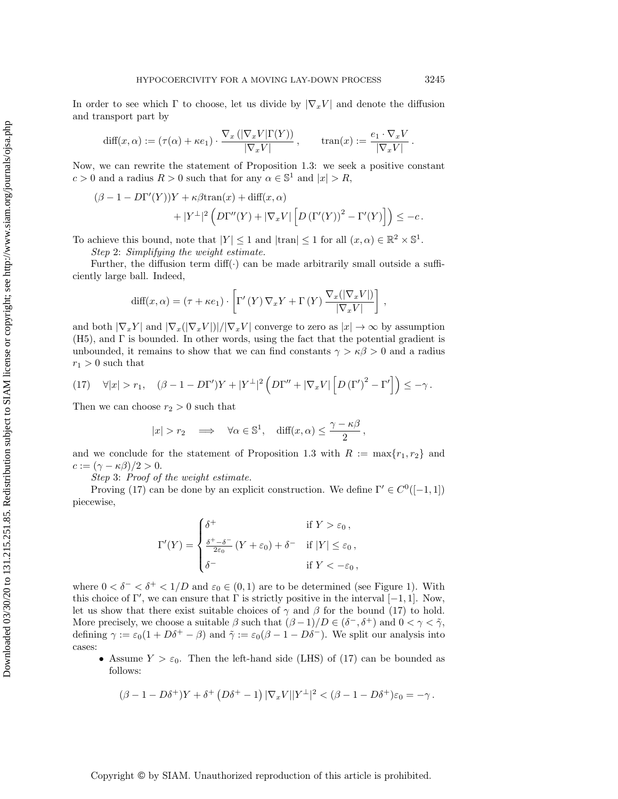In order to see which  $\Gamma$  to choose, let us divide by  $|\nabla_x V|$  and denote the diffusion and transport part by

$$
\text{diff}(x,\alpha) := (\tau(\alpha) + \kappa e_1) \cdot \frac{\nabla_x (|\nabla_x V| \Gamma(Y))}{|\nabla_x V|}, \quad \text{tran}(x) := \frac{e_1 \cdot \nabla_x V}{|\nabla_x V|}.
$$

Now, we can rewrite the statement of Proposition [1.3:](#page-3-2) we seek a positive constant  $c > 0$  and a radius  $R > 0$  such that for any  $\alpha \in \mathbb{S}^1$  and  $|x| > R$ ,

$$
\begin{aligned} \left(\beta-1-D\Gamma'(Y)\right)Y &+ \kappa\beta\text{tran}(x) + \text{diff}(x,\alpha) \\ &+|Y^\perp|^2\left(D\Gamma''(Y)+|\nabla_x V|\left[D\left(\Gamma'(Y)\right)^2-\Gamma'(Y)\right]\right)\leq -c\,. \end{aligned}
$$

To achieve this bound, note that  $|Y| \leq 1$  and  $|\text{tran}| \leq 1$  for all  $(x, \alpha) \in \mathbb{R}^2 \times \mathbb{S}^1$ .

Step 2: Simplifying the weight estimate.

Further, the diffusion term  $diff(\cdot)$  can be made arbitrarily small outside a sufficiently large ball. Indeed,

$$
\text{diff}(x,\alpha) = (\tau + \kappa e_1) \cdot \left[ \Gamma'(Y) \, \nabla_x Y + \Gamma(Y) \, \frac{\nabla_x(|\nabla_x V|)}{|\nabla_x V|} \right],
$$

and both  $|\nabla_x Y|$  and  $|\nabla_x (|\nabla_x V|)/|\nabla_x V|$  converge to zero as  $|x| \to \infty$  by assumption (H5), and Γ is bounded. In other words, using the fact that the potential gradient is unbounded, it remains to show that we can find constants  $\gamma > \kappa \beta > 0$  and a radius  $r_1 > 0$  such that

<span id="page-12-0"></span>
$$
(17) \quad \forall |x| > r_1, \quad (\beta - 1 - D\Gamma')Y + |Y^{\perp}|^2 \left( D\Gamma'' + |\nabla_x V| \left[ D(\Gamma')^2 - \Gamma' \right] \right) \leq -\gamma.
$$

Then we can choose  $r_2 > 0$  such that

$$
|x| > r_2 \implies \forall \alpha \in \mathbb{S}^1, \text{ diff}(x, \alpha) \le \frac{\gamma - \kappa \beta}{2},
$$

and we conclude for the statement of Proposition [1.3](#page-3-2) with  $R := \max\{r_1, r_2\}$  and  $c := (\gamma - \kappa \beta)/2 > 0.$ 

Step 3: Proof of the weight estimate.

Proving [\(17\)](#page-12-0) can be done by an explicit construction. We define  $\Gamma' \in C^0([-1,1])$ piecewise,

$$
\Gamma'(Y) = \begin{cases} \delta^+ & \text{if } Y > \varepsilon_0, \\ \frac{\delta^+ - \delta^-}{2\varepsilon_0} \left( Y + \varepsilon_0 \right) + \delta^- & \text{if } |Y| \le \varepsilon_0, \\ \delta^- & \text{if } Y < -\varepsilon_0, \end{cases}
$$

where  $0 < \delta^- < \delta^+ < 1/D$  and  $\varepsilon_0 \in (0,1)$  are to be determined (see Figure [1\)](#page-13-0). With this choice of  $\Gamma'$ , we can ensure that  $\Gamma$  is strictly positive in the interval  $[-1, 1]$ . Now, let us show that there exist suitable choices of  $\gamma$  and  $\beta$  for the bound [\(17\)](#page-12-0) to hold. More precisely, we choose a suitable  $\beta$  such that  $(\beta - 1)/D \in (\delta^-, \delta^+)$  and  $0 < \gamma < \tilde{\gamma}$ , defining  $\gamma := \varepsilon_0(1 + D\delta^+ - \beta)$  and  $\tilde{\gamma} := \varepsilon_0(\beta - 1 - D\delta^-)$ . We split our analysis into cases:

• Assume  $Y > \varepsilon_0$ . Then the left-hand side (LHS) of [\(17\)](#page-12-0) can be bounded as follows:

$$
(\beta - 1 - D\delta^+)Y + \delta^+ (D\delta^+ - 1) |\nabla_x V||Y^\perp|^2 < (\beta - 1 - D\delta^+) \varepsilon_0 = -\gamma.
$$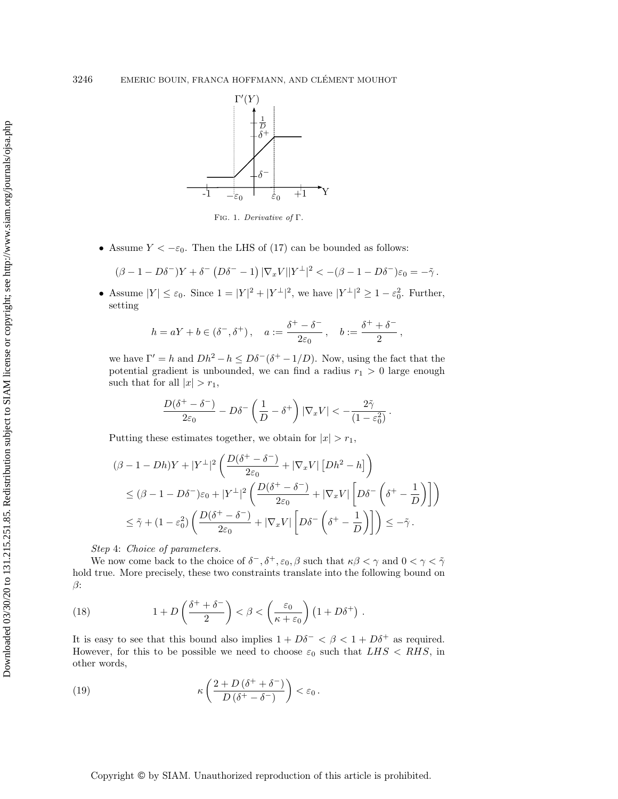<span id="page-13-0"></span>

Fig. 1. Derivative of Γ.

• Assume  $Y < -\varepsilon_0$ . Then the LHS of [\(17\)](#page-12-0) can be bounded as follows:

$$
(\beta - 1 - D\delta^{-})Y + \delta^{-} (D\delta^{-} - 1) |\nabla_x V||Y^{\perp}|^2 < -(\beta - 1 - D\delta^{-})\varepsilon_0 = -\tilde{\gamma}.
$$

• Assume  $|Y| \leq \varepsilon_0$ . Since  $1 = |Y|^2 + |Y^{\perp}|^2$ , we have  $|Y^{\perp}|^2 \geq 1 - \varepsilon_0^2$ . Further, setting

$$
h=aY+b\in (\delta^-,\delta^+)\,,\quad a:=\frac{\delta^+-\delta^-}{2\varepsilon_0}\,,\quad b:=\frac{\delta^++\delta^-}{2}\,,
$$

we have  $\Gamma' = h$  and  $Dh^2 - h \leq D\delta^{-}(\delta^{+} - 1/D)$ . Now, using the fact that the potential gradient is unbounded, we can find a radius  $r_1 > 0$  large enough such that for all  $|x| > r_1$ ,

$$
\frac{D(\delta^+-\delta^-)}{2\varepsilon_0} - D\delta^- \left(\frac{1}{D} - \delta^+\right) |\nabla_x V| < -\frac{2\tilde\gamma}{(1-\varepsilon_0^2)}\,.
$$

Putting these estimates together, we obtain for  $|x| > r_1$ ,

$$
\begin{split} &(\beta-1-Dh)Y+|Y^{\perp}|^2\left(\frac{D(\delta^+-\delta^-)}{2\varepsilon_0}+|\nabla_x V|\left[Dh^2-h\right]\right)\\ &\leq (\beta-1-D\delta^-)\varepsilon_0+|Y^{\perp}|^2\left(\frac{D(\delta^+-\delta^-)}{2\varepsilon_0}+|\nabla_x V|\left[D\delta^-\left(\delta^+-\frac{1}{D}\right)\right]\right)\\ &\leq \tilde{\gamma}+(1-\varepsilon_0^2)\left(\frac{D(\delta^+-\delta^-)}{2\varepsilon_0}+|\nabla_x V|\left[D\delta^-\left(\delta^+-\frac{1}{D}\right)\right]\right)\leq -\tilde{\gamma}\,. \end{split}
$$

Step 4: Choice of parameters.

We now come back to the choice of  $\delta^-$ ,  $\delta^+$ ,  $\varepsilon_0$ ,  $\beta$  such that  $\kappa\beta < \gamma$  and  $0 < \gamma < \tilde{\gamma}$ hold true. More precisely, these two constraints translate into the following bound on  $\beta$ :

<span id="page-13-2"></span>(18) 
$$
1 + D\left(\frac{\delta^+ + \delta^-}{2}\right) < \beta < \left(\frac{\varepsilon_0}{\kappa + \varepsilon_0}\right) \left(1 + D\delta^+\right).
$$

It is easy to see that this bound also implies  $1 + D\delta^- < \beta < 1 + D\delta^+$  as required. However, for this to be possible we need to choose  $\varepsilon_0$  such that  $LHS < RHS$ , in other words,

<span id="page-13-1"></span>(19) 
$$
\kappa\left(\frac{2+D(\delta^+ + \delta^-)}{D(\delta^+ - \delta^-)}\right) < \varepsilon_0.
$$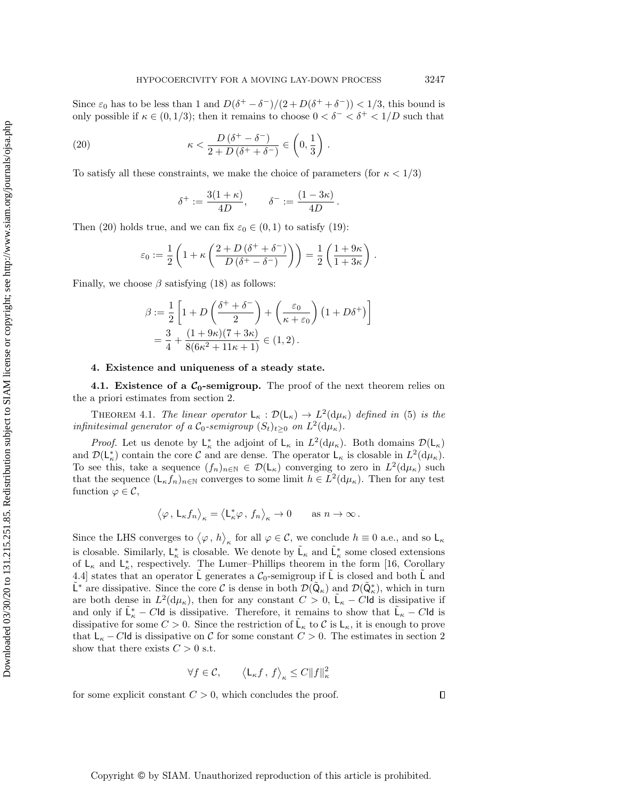Since  $\varepsilon_0$  has to be less than 1 and  $D(\delta^+ - \delta^-)/(2 + D(\delta^+ + \delta^-)) < 1/3$ , this bound is only possible if  $\kappa \in (0, 1/3)$ ; then it remains to choose  $0 < \delta^- < \delta^+ < 1/D$  such that

(20) 
$$
\kappa < \frac{D(\delta^+ - \delta^-)}{2 + D(\delta^+ + \delta^-)} \in \left(0, \frac{1}{3}\right).
$$

To satisfy all these constraints, we make the choice of parameters (for  $\kappa < 1/3$ )

<span id="page-14-2"></span>
$$
\delta^+:=\frac{3(1+\kappa)}{4D},\qquad \delta^-:=\frac{(1-3\kappa)}{4D}\,.
$$

Then [\(20\)](#page-14-2) holds true, and we can fix  $\varepsilon_0 \in (0,1)$  to satisfy [\(19\)](#page-13-1):

$$
\varepsilon_0 := \frac{1}{2} \left( 1 + \kappa \left( \frac{2 + D \left( \delta^+ + \delta^- \right)}{D \left( \delta^+ - \delta^- \right)} \right) \right) = \frac{1}{2} \left( \frac{1 + 9\kappa}{1 + 3\kappa} \right) .
$$

Finally, we choose  $\beta$  satisfying [\(18\)](#page-13-2) as follows:

$$
\beta := \frac{1}{2} \left[ 1 + D \left( \frac{\delta^+ + \delta^-}{2} \right) + \left( \frac{\varepsilon_0}{\kappa + \varepsilon_0} \right) \left( 1 + D \delta^+ \right) \right]
$$
  
=  $\frac{3}{4} + \frac{(1 + 9\kappa)(7 + 3\kappa)}{8(6\kappa^2 + 11\kappa + 1)} \in (1, 2).$ 

## <span id="page-14-1"></span>4. Existence and uniqueness of a steady state.

<span id="page-14-0"></span>4.1. Existence of a  $C_0$ -semigroup. The proof of the next theorem relies on the a priori estimates from section [2.](#page-5-0)

<span id="page-14-3"></span>THEOREM 4.1. The linear operator  $L_{\kappa} : \mathcal{D}(L_{\kappa}) \to L^2(\mathrm{d}\mu_{\kappa})$  defined in [\(5\)](#page-3-0) is the infinitesimal generator of a  $C_0$ -semigroup  $(S_t)_{t\geq 0}$  on  $L^2(\mathrm{d}\mu_\kappa)$ .

*Proof.* Let us denote by  $L_{\kappa}^*$  the adjoint of  $L_{\kappa}$  in  $L^2(\mathrm{d}\mu_{\kappa})$ . Both domains  $\mathcal{D}(L_{\kappa})$ and  $\mathcal{D}(\mathsf{L}_{\kappa}^*)$  contain the core  $\mathcal C$  and are dense. The operator  $\mathsf{L}_{\kappa}$  is closable in  $L^2(\mathrm{d}\mu_{\kappa})$ . To see this, take a sequence  $(f_n)_{n\in\mathbb{N}}\in\mathcal{D}(\mathsf{L}_\kappa)$  converging to zero in  $L^2(\mathrm{d}\mu_\kappa)$  such that the sequence  $(L_{\kappa} f_n)_{n \in \mathbb{N}}$  converges to some limit  $h \in L^2(\mathrm{d}\mu_{\kappa})$ . Then for any test function  $\varphi \in \mathcal{C}$ ,

$$
\left\langle \varphi\,,\, \mathsf L_\kappa f_n\right\rangle_\kappa = \left\langle \mathsf L_\kappa^*\varphi\,,\, f_n\right\rangle_\kappa \to 0 \qquad \text{as }n\to\infty\,.
$$

Since the LHS converges to  $\langle \varphi, h \rangle_{\kappa}$  for all  $\varphi \in \mathcal{C}$ , we conclude  $h \equiv 0$  a.e., and so  $\mathsf{L}_{\kappa}$ is closable. Similarly,  $L^*_{\kappa}$  is closable. We denote by  $\tilde{L}_{\kappa}$  and  $\tilde{L}^*_{\kappa}$  some closed extensions of  $\mathsf{L}_{\kappa}$  and  $\mathsf{L}_{\kappa}^{*}$ , respectively. The Lumer-Phillips theorem in the form [\[16,](#page-18-4) Corollary 4.4] states that an operator L generates a  $C_0$ -semigroup if L is closed and both L and  $\tilde{\mathsf{L}}^*$  are dissipative. Since the core C is dense in both  $\mathcal{D}(\tilde{\mathsf{Q}}_\kappa)$  and  $\mathcal{D}(\tilde{\mathsf{Q}}^*_\kappa)$ , which in turn are both dense in  $L^2(\mathrm{d}\mu_\kappa)$ , then for any constant  $C>0$ ,  $\tilde{\mathsf{L}}_\kappa - C\mathsf{Id}$  is dissipative if and only if  $\tilde{\mathsf{L}}_{\kappa}^* - C \mathsf{Id}$  is dissipative. Therefore, it remains to show that  $\tilde{\mathsf{L}}_{\kappa} - C \mathsf{Id}$  is dissipative for some  $C > 0$ . Since the restriction of  $\tilde{\mathsf{L}}_{\kappa}$  to C is  $\mathsf{L}_{\kappa}$ , it is enough to prove that  $L_{\kappa} - C$ Id is dissipative on C for some constant  $C > 0$ . The estimates in section [2](#page-5-0) show that there exists  $C > 0$  s.t.

$$
\forall f \in \mathcal{C}, \qquad \left\langle \mathsf{L}_{\kappa} f, f \right\rangle_{\kappa} \leq C \|f\|_{\kappa}^2
$$

for some explicit constant  $C > 0$ , which concludes the proof.

 $\Box$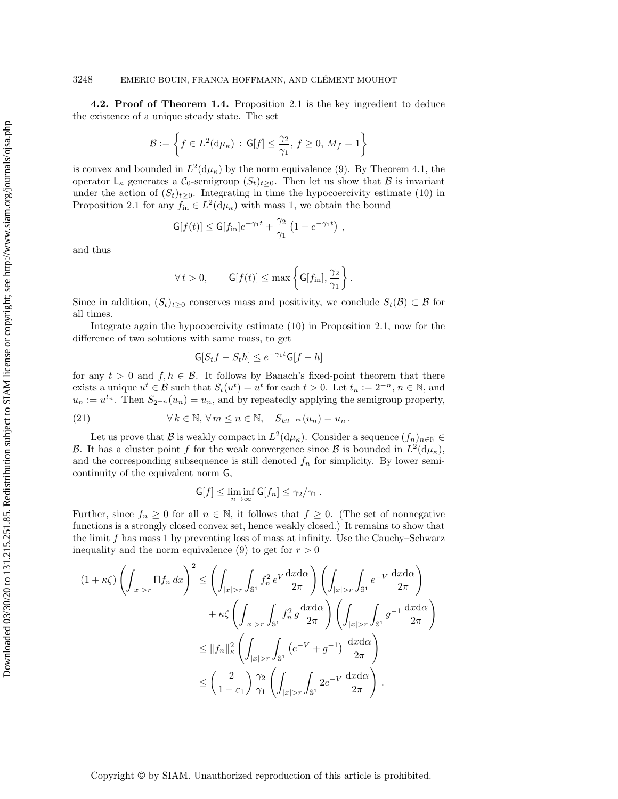4.2. Proof of Theorem [1.4.](#page-4-0) Proposition [2.1](#page-5-1) is the key ingredient to deduce the existence of a unique steady state. The set

$$
\mathcal{B} := \left\{ f \in L^2(\mathrm{d}\mu_\kappa) \, : \, \mathsf{G}[f] \le \frac{\gamma_2}{\gamma_1}, \, f \ge 0, \, M_f = 1 \right\}
$$

is convex and bounded in  $L^2(d\mu_{\kappa})$  by the norm equivalence [\(9\)](#page-5-2). By Theorem [4.1,](#page-14-3) the operator  $\mathsf{L}_{\kappa}$  generates a  $\mathcal{C}_0$ -semigroup  $(S_t)_{t\geq 0}$ . Then let us show that  $\mathcal{B}$  is invariant under the action of  $(S_t)_{t\geq0}$ . Integrating in time the hypocoercivity estimate [\(10\)](#page-6-1) in Proposition [2.1](#page-5-1) for any  $f_{\text{in}} \in L^2(\mathrm{d}\mu_\kappa)$  with mass 1, we obtain the bound

$$
\mathsf{G}[f(t)] \leq \mathsf{G}[f_{\text{in}}]e^{-\gamma_1 t} + \frac{\gamma_2}{\gamma_1} \left(1 - e^{-\gamma_1 t}\right),
$$

and thus

$$
\forall t > 0, \qquad \mathsf{G}[f(t)] \leq \max\left\{\mathsf{G}[f_{\mathrm{in}}], \frac{\gamma_2}{\gamma_1}\right\}.
$$

Since in addition,  $(S_t)_{t\geq 0}$  conserves mass and positivity, we conclude  $S_t(\mathcal{B}) \subset \mathcal{B}$  for all times.

Integrate again the hypocoercivity estimate [\(10\)](#page-6-1) in Proposition [2.1,](#page-5-1) now for the difference of two solutions with same mass, to get

<span id="page-15-0"></span>
$$
\mathsf{G}[S_t f - S_t h] \le e^{-\gamma_1 t} \mathsf{G}[f - h]
$$

for any  $t > 0$  and  $f, h \in \mathcal{B}$ . It follows by Banach's fixed-point theorem that there exists a unique  $u^t \in \mathcal{B}$  such that  $S_t(u^t) = u^t$  for each  $t > 0$ . Let  $t_n := 2^{-n}, n \in \mathbb{N}$ , and  $u_n := u^{t_n}$ . Then  $S_{2^{-n}}(u_n) = u_n$ , and by repeatedly applying the semigroup property,

(21) 
$$
\forall k \in \mathbb{N}, \forall m \leq n \in \mathbb{N}, S_{k2^{-m}}(u_n) = u_n.
$$

Let us prove that  $\mathcal B$  is weakly compact in  $L^2(\mathrm{d}\mu_\kappa)$ . Consider a sequence  $(f_n)_{n\in\mathbb N}\in$ B. It has a cluster point f for the weak convergence since B is bounded in  $L^2(\mathrm{d}\mu_{\kappa})$ , and the corresponding subsequence is still denoted  $f_n$  for simplicity. By lower semicontinuity of the equivalent norm G,

$$
\mathsf{G}[f] \leq \liminf_{n \to \infty} \mathsf{G}[f_n] \leq \gamma_2/\gamma_1 \,.
$$

Further, since  $f_n \geq 0$  for all  $n \in \mathbb{N}$ , it follows that  $f \geq 0$ . (The set of nonnegative functions is a strongly closed convex set, hence weakly closed.) It remains to show that the limit  $f$  has mass 1 by preventing loss of mass at infinity. Use the Cauchy–Schwarz inequality and the norm equivalence [\(9\)](#page-5-2) to get for  $r > 0$ 

$$
(1 + \kappa \zeta) \left( \int_{|x|>r} \Pi f_n \, dx \right)^2 \le \left( \int_{|x|>r} \int_{\mathbb{S}^1} f_n^2 \, e^V \frac{dx d\alpha}{2\pi} \right) \left( \int_{|x|>r} \int_{\mathbb{S}^1} e^{-V} \frac{dx d\alpha}{2\pi} \right) + \kappa \zeta \left( \int_{|x|>r} \int_{\mathbb{S}^1} f_n^2 \, g \frac{dx d\alpha}{2\pi} \right) \left( \int_{|x|>r} \int_{\mathbb{S}^1} g^{-1} \, \frac{dx d\alpha}{2\pi} \right) \le ||f_n||^2_{\kappa} \left( \int_{|x|>r} \int_{\mathbb{S}^1} \left( e^{-V} + g^{-1} \right) \, \frac{dx d\alpha}{2\pi} \right) \le \left( \frac{2}{1 - \varepsilon_1} \right) \frac{\gamma_2}{\gamma_1} \left( \int_{|x|>r} \int_{\mathbb{S}^1} 2e^{-V} \, \frac{dx d\alpha}{2\pi} \right).
$$

Copyright © by SIAM. Unauthorized reproduction of this article is prohibited.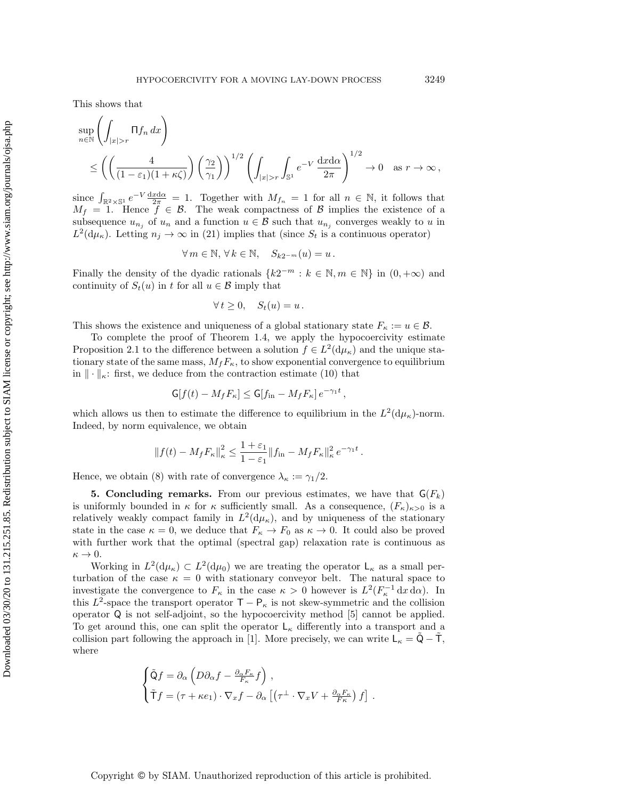This shows that

$$
\sup_{n \in \mathbb{N}} \left( \int_{|x|>r} \Pi f_n \, dx \right)
$$
\n
$$
\leq \left( \left( \frac{4}{(1-\varepsilon_1)(1+\kappa\zeta)} \right) \left( \frac{\gamma_2}{\gamma_1} \right) \right)^{1/2} \left( \int_{|x|>r} \int_{\mathbb{S}^1} e^{-V} \, \frac{\mathrm{d}x \mathrm{d}\alpha}{2\pi} \right)^{1/2} \to 0 \quad \text{as } r \to \infty,
$$

since  $\int_{\mathbb{R}^2 \times \mathbb{S}^1} e^{-V} \frac{dxd\alpha}{2\pi} = 1$ . Together with  $M_{f_n} = 1$  for all  $n \in \mathbb{N}$ , it follows that  $M_f = 1$ . Hence  $f \in \mathcal{B}$ . The weak compactness of  $\mathcal{B}$  implies the existence of a subsequence  $u_{n_j}$  of  $u_n$  and a function  $u \in \mathcal{B}$  such that  $u_{n_j}$  converges weakly to u in  $L^2(\mathrm{d}\mu_\kappa)$ . Letting  $n_j \to \infty$  in [\(21\)](#page-15-0) implies that (since  $S_t$  is a continuous operator)

$$
\forall m \in \mathbb{N}, \forall k \in \mathbb{N}, \quad S_{k2^{-m}}(u) = u.
$$

Finally the density of the dyadic rationals  ${k2^{-m} : k \in \mathbb{N}, m \in \mathbb{N}}$  in  $(0, +\infty)$  and continuity of  $S_t(u)$  in t for all  $u \in \mathcal{B}$  imply that

$$
\forall t \geq 0, \quad S_t(u) = u \, .
$$

This shows the existence and uniqueness of a global stationary state  $F_{\kappa} := u \in \mathcal{B}$ .

To complete the proof of Theorem [1.4,](#page-4-0) we apply the hypocoercivity estimate Proposition [2.1](#page-5-1) to the difference between a solution  $f \in L^2(\mathrm{d}\mu_\kappa)$  and the unique stationary state of the same mass,  $M_fF_\kappa$ , to show exponential convergence to equilibrium in  $\|\cdot\|_{\kappa}$ : first, we deduce from the contraction estimate [\(10\)](#page-6-1) that

$$
\mathsf{G}[f(t)-M_fF_\kappa] \leq \mathsf{G}[f_{\text{in}}-M_fF_\kappa]e^{-\gamma_1 t}
$$

,

which allows us then to estimate the difference to equilibrium in the  $L^2(\mathrm{d}\mu_{\kappa})$ -norm. Indeed, by norm equivalence, we obtain

$$
||f(t) - M_f F_{\kappa}||_{\kappa}^2 \le \frac{1+\varepsilon_1}{1-\varepsilon_1} ||f_{\rm in} - M_f F_{\kappa}||_{\kappa}^2 e^{-\gamma_1 t}.
$$

Hence, we obtain [\(8\)](#page-5-3) with rate of convergence  $\lambda_{\kappa} := \gamma_1/2$ .

<span id="page-16-0"></span>5. Concluding remarks. From our previous estimates, we have that  $\mathsf{G}(F_k)$ is uniformly bounded in  $\kappa$  for  $\kappa$  sufficiently small. As a consequence,  $(F_{\kappa})_{\kappa>0}$  is a relatively weakly compact family in  $L^2(\mathrm{d}\mu_\kappa)$ , and by uniqueness of the stationary state in the case  $\kappa = 0$ , we deduce that  $F_{\kappa} \to F_0$  as  $\kappa \to 0$ . It could also be proved with further work that the optimal (spectral gap) relaxation rate is continuous as  $\kappa \to 0$ .

Working in  $L^2(\mathrm{d}\mu_{\kappa}) \subset L^2(\mathrm{d}\mu_0)$  we are treating the operator  $\mathsf{L}_{\kappa}$  as a small perturbation of the case  $\kappa = 0$  with stationary conveyor belt. The natural space to investigate the convergence to  $F_{\kappa}$  in the case  $\kappa > 0$  however is  $L^2(F_{\kappa}^{-1} dx d\alpha)$ . In this  $L^2$ -space the transport operator  $\mathsf{T} - \mathsf{P}_\kappa$  is not skew-symmetric and the collision operator Q is not self-adjoint, so the hypocoercivity method [\[5\]](#page-17-6) cannot be applied. To get around this, one can split the operator  $\mathsf{L}_{\kappa}$  differently into a transport and a collision part following the approach in [\[1\]](#page-17-11). More precisely, we can write  $L_{\kappa} = \tilde{Q} - \tilde{T}$ , where

$$
\begin{cases} \tilde{Q}f = \partial_{\alpha} \left( D\partial_{\alpha}f - \frac{\partial_{\alpha}F_{\kappa}}{F_{\kappa}}f \right) , \\ \tilde{T}f = (\tau + \kappa e_1) \cdot \nabla_x f - \partial_{\alpha} \left[ \left( \tau^{\perp} \cdot \nabla_x V + \frac{\partial_{\alpha}F_{\kappa}}{F_{\kappa}} \right) f \right] . \end{cases}
$$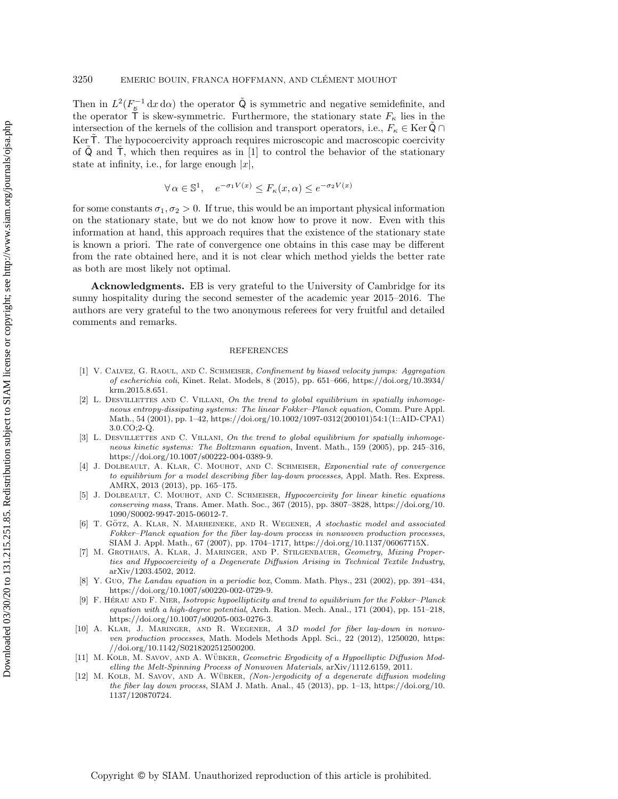Then in  $L^2(F_{\mathcal{E}}^{-1} dx d\alpha)$  the operator  $\tilde{Q}$  is symmetric and negative semidefinite, and the operator  $\overline{T}$  is skew-symmetric. Furthermore, the stationary state  $F_{\kappa}$  lies in the intersection of the kernels of the collision and transport operators, i.e.,  $F_{\kappa} \in \text{Ker } \mathbb{Q} \cap \mathbb{Q}$ Ker T. The hypocoercivity approach requires microscopic and macroscopic coercivity of  $Q$  and  $T$ , which then requires as in [\[1\]](#page-17-11) to control the behavior of the stationary state at infinity, i.e., for large enough  $|x|$ ,

$$
\forall \alpha \in \mathbb{S}^1, \quad e^{-\sigma_1 V(x)} \le F_\kappa(x, \alpha) \le e^{-\sigma_2 V(x)}
$$

for some constants  $\sigma_1, \sigma_2 > 0$ . If true, this would be an important physical information on the stationary state, but we do not know how to prove it now. Even with this information at hand, this approach requires that the existence of the stationary state is known a priori. The rate of convergence one obtains in this case may be different from the rate obtained here, and it is not clear which method yields the better rate as both are most likely not optimal.

Acknowledgments. EB is very grateful to the University of Cambridge for its sunny hospitality during the second semester of the academic year 2015–2016. The authors are very grateful to the two anonymous referees for very fruitful and detailed comments and remarks.

#### REFERENCES

- <span id="page-17-11"></span>[1] V. Calvez, G. Raoul, and C. Schmeiser, Confinement by biased velocity jumps: Aggregation of escherichia coli, Kinet. Relat. Models, 8 (2015), pp. 651–666, [https://doi.org/10.3934/](https://doi.org/10.3934/krm.2015.8.651) [krm.2015.8.651.](https://doi.org/10.3934/krm.2015.8.651)
- <span id="page-17-9"></span>[2] L. DESVILLETTES AND C. VILLANI, On the trend to global equilibrium in spatially inhomogeneous entropy-dissipating systems: The linear Fokker–Planck equation, Comm. Pure Appl. Math., 54 (2001), pp. 1-42, [https://doi.org/10.1002/1097-0312\(200101\)54:1](https://doi.org/10.1002/1097-0312(200101)54:1<1::AID-CPA1>3.0.CO;2-Q){1::AID-CPA1} [3.0.CO;2-Q.](https://doi.org/10.1002/1097-0312(200101)54:1<1::AID-CPA1>3.0.CO;2-Q)
- <span id="page-17-10"></span>[3] L. DESVILLETTES AND C. VILLANI, On the trend to global equilibrium for spatially inhomogeneous kinetic systems: The Boltzmann equation, Invent. Math., 159 (2005), pp. 245–316, [https://doi.org/10.1007/s00222-004-0389-9.](https://doi.org/10.1007/s00222-004-0389-9)
- <span id="page-17-3"></span>[4] J. DOLBEAULT, A. KLAR, C. MOUHOT, AND C. SCHMEISER, Exponential rate of convergence to equilibrium for a model describing fiber lay-down processes, Appl. Math. Res. Express. AMRX, 2013 (2013), pp. 165–175.
- <span id="page-17-6"></span>[5] J. DOLBEAULT, C. MOUHOT, AND C. SCHMEISER, *Hypocoercivity for linear kinetic equations* conserving mass, Trans. Amer. Math. Soc., 367 (2015), pp. 3807–3828, [https://doi.org/10.](https://doi.org/10.1090/S0002-9947-2015-06012-7) [1090/S0002-9947-2015-06012-7.](https://doi.org/10.1090/S0002-9947-2015-06012-7)
- <span id="page-17-0"></span>[6] T. GÖTZ, A. KLAR, N. MARHEINEKE, AND R. WEGENER, A stochastic model and associated Fokker–Planck equation for the fiber lay-down process in nonwoven production processes, SIAM J. Appl. Math., 67 (2007), pp. 1704–1717, [https://doi.org/10.1137/06067715X.](https://doi.org/10.1137/06067715X)
- <span id="page-17-5"></span>[7] M. Grothaus, A. Klar, J. Maringer, and P. Stilgenbauer, Geometry, Mixing Properties and Hypocoercivity of a Degenerate Diffusion Arising in Technical Textile Industry, arXiv/1203.4502, 2012.
- <span id="page-17-8"></span>[8] Y. Guo, The Landau equation in a periodic box, Comm. Math. Phys., 231 (2002), pp. 391–434, [https://doi.org/10.1007/s00220-002-0729-9.](https://doi.org/10.1007/s00220-002-0729-9)
- <span id="page-17-7"></span>[9] F. HÉRAU AND F. NIER, Isotropic hypoellipticity and trend to equilibrium for the Fokker–Planck equation with a high-degree potential, Arch. Ration. Mech. Anal., 171 (2004), pp. 151–218, [https://doi.org/10.1007/s00205-003-0276-3.](https://doi.org/10.1007/s00205-003-0276-3)
- <span id="page-17-1"></span>[10] A. Klar, J. Maringer, and R. Wegener, A 3D model for fiber lay-down in nonwoven production processes, Math. Models Methods Appl. Sci., 22 (2012), 1250020, [https:](https://doi.org/10.1142/S0218202512500200) [//doi.org/10.1142/S0218202512500200.](https://doi.org/10.1142/S0218202512500200)
- <span id="page-17-2"></span>[11] M. KOLB, M. SAVOV, AND A. WÜBKER, Geometric Ergodicity of a Hypoelliptic Diffusion Modelling the Melt-Spinning Process of Nonwoven Materials, arXiv/1112.6159, 2011.
- <span id="page-17-4"></span>[12] M. KOLB, M. SAVOV, AND A. WÜBKER, (Non-)ergodicity of a degenerate diffusion modeling the fiber lay down process, SIAM J. Math. Anal., 45 (2013), pp. 1–13, [https://doi.org/10.](https://doi.org/10.1137/120870724) [1137/120870724.](https://doi.org/10.1137/120870724)